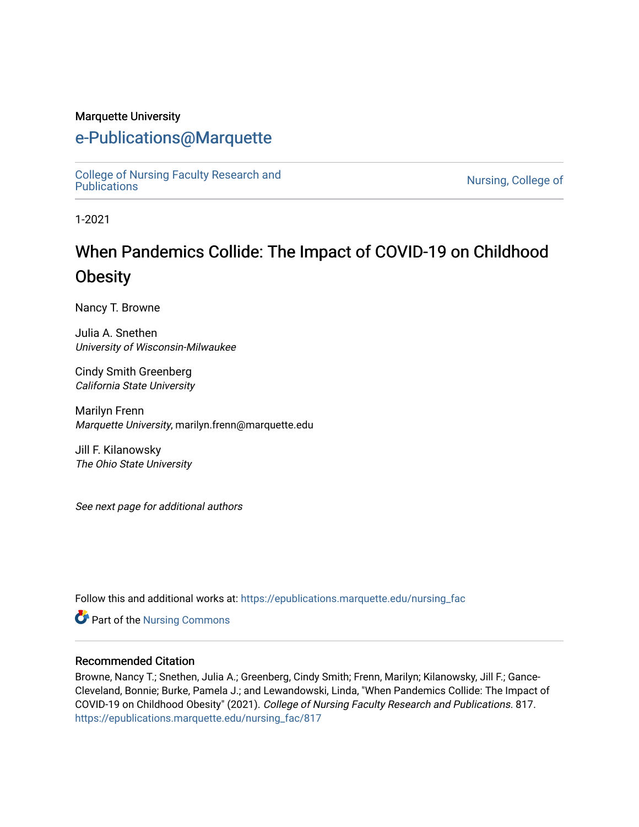#### Marquette University

## [e-Publications@Marquette](https://epublications.marquette.edu/)

[College of Nursing Faculty Research and](https://epublications.marquette.edu/nursing_fac)<br>Publications

Nursing, College of

1-2021

# When Pandemics Collide: The Impact of COVID-19 on Childhood **Obesity**

Nancy T. Browne

Julia A. Snethen University of Wisconsin-Milwaukee

Cindy Smith Greenberg California State University

Marilyn Frenn Marquette University, marilyn.frenn@marquette.edu

Jill F. Kilanowsky The Ohio State University

See next page for additional authors

Follow this and additional works at: [https://epublications.marquette.edu/nursing\\_fac](https://epublications.marquette.edu/nursing_fac?utm_source=epublications.marquette.edu%2Fnursing_fac%2F817&utm_medium=PDF&utm_campaign=PDFCoverPages)

**Part of the Nursing Commons** 

#### Recommended Citation

Browne, Nancy T.; Snethen, Julia A.; Greenberg, Cindy Smith; Frenn, Marilyn; Kilanowsky, Jill F.; Gance-Cleveland, Bonnie; Burke, Pamela J.; and Lewandowski, Linda, "When Pandemics Collide: The Impact of COVID-19 on Childhood Obesity" (2021). College of Nursing Faculty Research and Publications. 817. [https://epublications.marquette.edu/nursing\\_fac/817](https://epublications.marquette.edu/nursing_fac/817?utm_source=epublications.marquette.edu%2Fnursing_fac%2F817&utm_medium=PDF&utm_campaign=PDFCoverPages)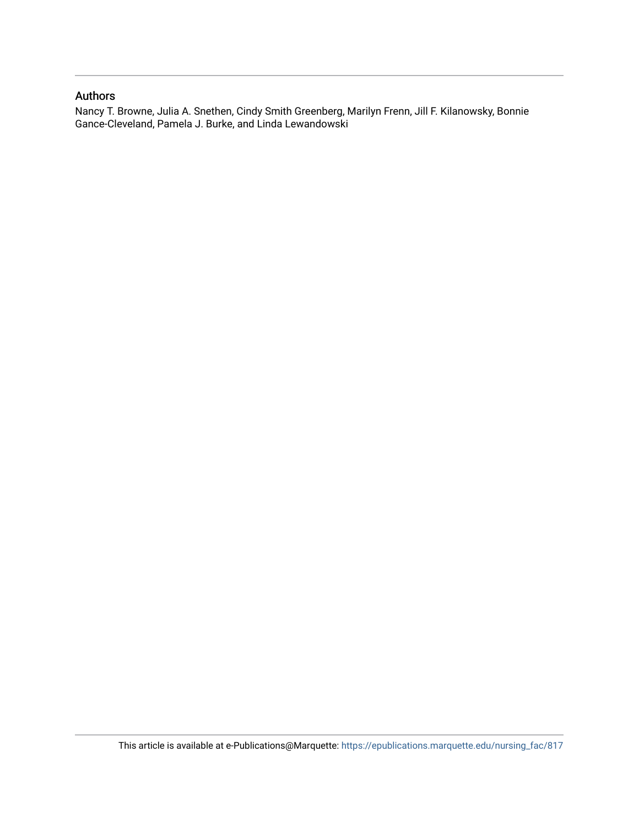#### Authors

Nancy T. Browne, Julia A. Snethen, Cindy Smith Greenberg, Marilyn Frenn, Jill F. Kilanowsky, Bonnie Gance-Cleveland, Pamela J. Burke, and Linda Lewandowski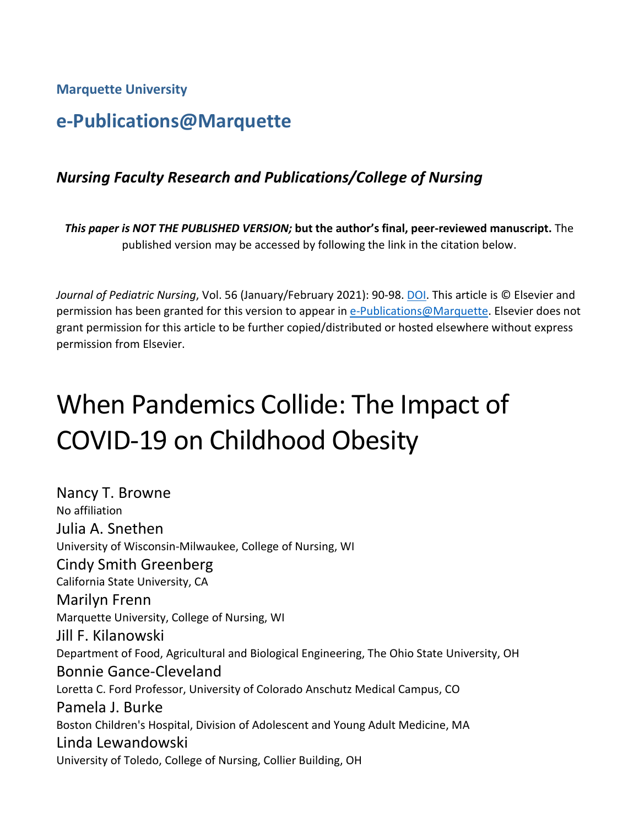**Marquette University**

# **e-Publications@Marquette**

## *Nursing Faculty Research and Publications/College of Nursing*

*This paper is NOT THE PUBLISHED VERSION;* **but the author's final, peer-reviewed manuscript.** The published version may be accessed by following the link in the citation below.

Journal of Pediatric Nursing, Vol. 56 (January/February 2021): 90-98. [DOI.](https://doi.org/10.1016/j.pedn.2020.11.004) This article is © Elsevier and permission has been granted for this version to appear in [e-Publications@Marquette.](http://epublications.marquette.edu/) Elsevier does not grant permission for this article to be further copied/distributed or hosted elsewhere without express permission from Elsevier.

# When Pandemics Collide: The Impact of COVID-19 on Childhood Obesity

Nancy T. Browne No affiliation Julia A. Snethen University of Wisconsin-Milwaukee, College of Nursing, WI Cindy Smith Greenberg California State University, CA Marilyn Frenn Marquette University, College of Nursing, WI Jill F. Kilanowski Department of Food, Agricultural and Biological Engineering, The Ohio State University, OH Bonnie Gance-Cleveland Loretta C. Ford Professor, University of Colorado Anschutz Medical Campus, CO Pamela J. Burke Boston Children's Hospital, Division of Adolescent and Young Adult Medicine, MA Linda Lewandowski University of Toledo, College of Nursing, Collier Building, OH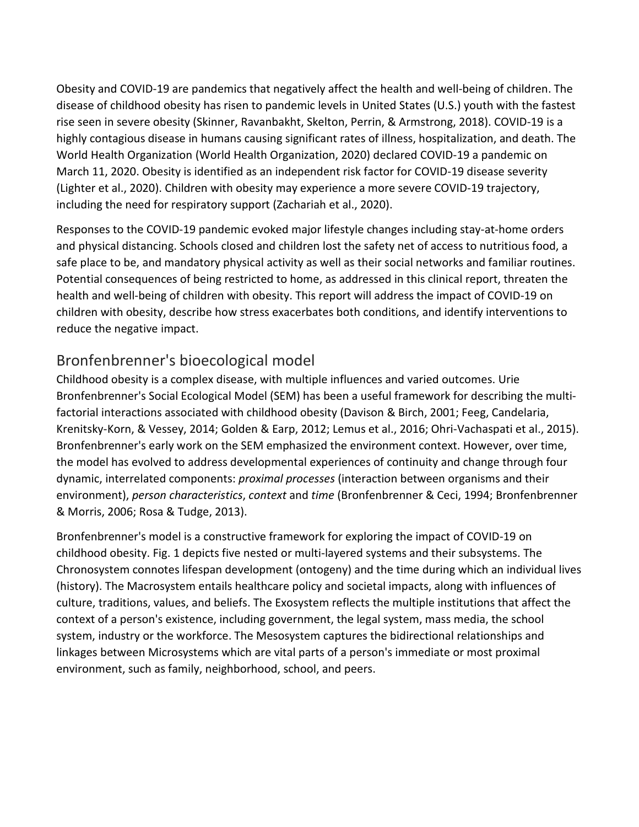Obesity and COVID-19 are pandemics that negatively affect the health and well-being of children. The disease of childhood obesity has risen to pandemic levels in United States (U.S.) youth with the fastest rise seen in severe obesity (Skinner, Ravanbakht, Skelton, Perrin, & Armstrong, 2018). COVID-19 is a highly contagious disease in humans causing significant rates of illness, hospitalization, and death. The World Health Organization (World Health Organization, 2020) declared COVID-19 a pandemic on March 11, 2020. Obesity is identified as an independent risk factor for COVID-19 disease severity (Lighter et al., 2020). Children with obesity may experience a more severe COVID-19 trajectory, including the need for respiratory support (Zachariah et al., 2020).

Responses to the COVID-19 pandemic evoked major lifestyle changes including stay-at-home orders and physical distancing. Schools closed and children lost the safety net of access to nutritious food, a safe place to be, and mandatory physical activity as well as their social networks and familiar routines. Potential consequences of being restricted to home, as addressed in this clinical report, threaten the health and well-being of children with obesity. This report will address the impact of COVID-19 on children with obesity, describe how stress exacerbates both conditions, and identify interventions to reduce the negative impact.

## Bronfenbrenner's bioecological model

Childhood obesity is a complex disease, with multiple influences and varied outcomes. Urie Bronfenbrenner's Social Ecological Model (SEM) has been a useful framework for describing the multifactorial interactions associated with childhood obesity (Davison & Birch, 2001; Feeg, Candelaria, Krenitsky-Korn, & Vessey, 2014; Golden & Earp, 2012; Lemus et al., 2016; Ohri-Vachaspati et al., 2015). Bronfenbrenner's early work on the SEM emphasized the environment context. However, over time, the model has evolved to address developmental experiences of continuity and change through four dynamic, interrelated components: *proximal processes* (interaction between organisms and their environment), *person characteristics*, *context* and *time* (Bronfenbrenner & Ceci, 1994; Bronfenbrenner & Morris, 2006; Rosa & Tudge, 2013).

Bronfenbrenner's model is a constructive framework for exploring the impact of COVID-19 on childhood obesity. Fig. 1 depicts five nested or multi-layered systems and their subsystems. The Chronosystem connotes lifespan development (ontogeny) and the time during which an individual lives (history). The Macrosystem entails healthcare policy and societal impacts, along with influences of culture, traditions, values, and beliefs. The Exosystem reflects the multiple institutions that affect the context of a person's existence, including government, the legal system, mass media, the school system, industry or the workforce. The Mesosystem captures the bidirectional relationships and linkages between Microsystems which are vital parts of a person's immediate or most proximal environment, such as family, neighborhood, school, and peers.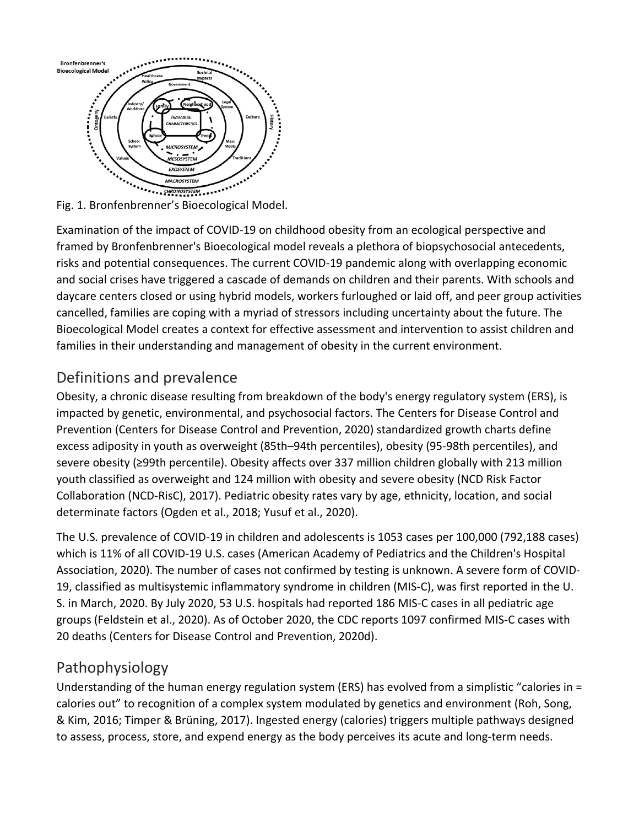

Examination of the impact of COVID-19 on childhood obesity from an ecological perspective and framed by Bronfenbrenner's Bioecological model reveals a plethora of biopsychosocial antecedents, risks and potential consequences. The current COVID-19 pandemic along with overlapping economic and social crises have triggered a cascade of demands on children and their parents. With schools and daycare centers closed or using hybrid models, workers furloughed or laid off, and peer group activities cancelled, families are coping with a myriad of stressors including uncertainty about the future. The Bioecological Model creates a context for effective assessment and intervention to assist children and families in their understanding and management of obesity in the current environment.

## Definitions and prevalence

Obesity, a chronic disease resulting from breakdown of the body's energy regulatory system (ERS), is impacted by genetic, environmental, and psychosocial factors. The Centers for Disease Control and Prevention (Centers for Disease Control and Prevention, 2020) standardized growth charts define excess adiposity in youth as overweight (85th–94th percentiles), obesity (95-98th percentiles), and severe obesity (≥99th percentile). Obesity affects over 337 million children globally with 213 million youth classified as overweight and 124 million with obesity and severe obesity (NCD Risk Factor Collaboration (NCD-RisC), 2017). Pediatric obesity rates vary by age, ethnicity, location, and social determinate factors (Ogden et al., 2018; Yusuf et al., 2020).

The U.S. prevalence of COVID-19 in children and adolescents is 1053 cases per 100,000 (792,188 cases) which is 11% of all COVID-19 U.S. cases (American Academy of Pediatrics and the Children's Hospital Association, 2020). The number of cases not confirmed by testing is unknown. A severe form of COVID-19, classified as multisystemic inflammatory syndrome in children (MIS-C), was first reported in the U. S. in March, 2020. By July 2020, 53 U.S. hospitals had reported 186 MIS-C cases in all pediatric age groups (Feldstein et al., 2020). As of October 2020, the CDC reports 1097 confirmed MIS-C cases with 20 deaths (Centers for Disease Control and Prevention, 2020d).

## Pathophysiology

Understanding of the human energy regulation system (ERS) has evolved from a simplistic "calories in = calories out" to recognition of a complex system modulated by genetics and environment (Roh, Song, & Kim, 2016; Timper & Brüning, 2017). Ingested energy (calories) triggers multiple pathways designed to assess, process, store, and expend energy as the body perceives its acute and long-term needs.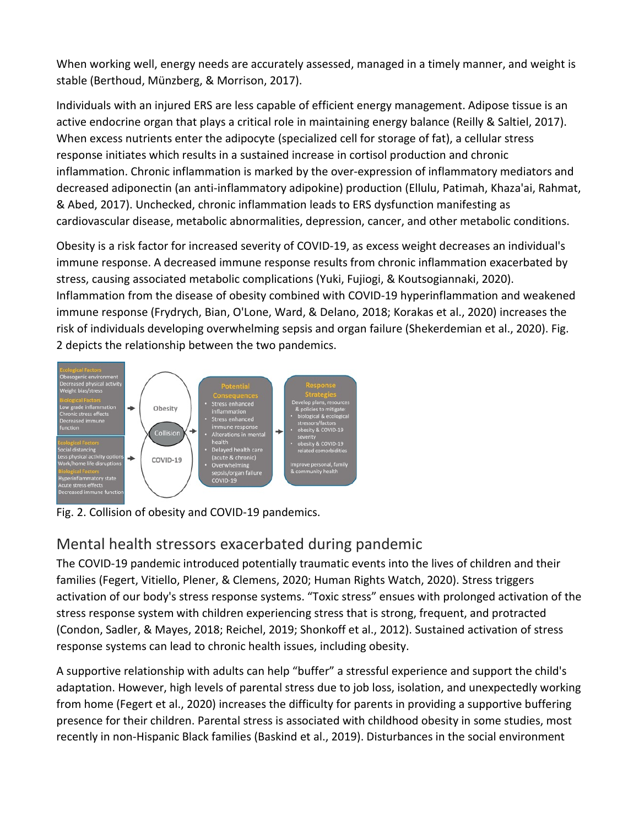When working well, energy needs are accurately assessed, managed in a timely manner, and weight is stable (Berthoud, Münzberg, & Morrison, 2017).

Individuals with an injured ERS are less capable of efficient energy management. Adipose tissue is an active endocrine organ that plays a critical role in maintaining energy balance (Reilly & Saltiel, 2017). When excess nutrients enter the adipocyte (specialized cell for storage of fat), a cellular stress response initiates which results in a sustained increase in cortisol production and chronic inflammation. Chronic inflammation is marked by the over-expression of inflammatory mediators and decreased adiponectin (an anti-inflammatory adipokine) production (Ellulu, Patimah, Khaza'ai, Rahmat, & Abed, 2017). Unchecked, chronic inflammation leads to ERS dysfunction manifesting as cardiovascular disease, metabolic abnormalities, depression, cancer, and other metabolic conditions.

Obesity is a risk factor for increased severity of COVID-19, as excess weight decreases an individual's immune response. A decreased immune response results from chronic inflammation exacerbated by stress, causing associated metabolic complications (Yuki, Fujiogi, & Koutsogiannaki, 2020). Inflammation from the disease of obesity combined with COVID-19 hyperinflammation and weakened immune response (Frydrych, Bian, O'Lone, Ward, & Delano, 2018; Korakas et al., 2020) increases the risk of individuals developing overwhelming sepsis and organ failure (Shekerdemian et al., 2020). Fig. 2 depicts the relationship between the two pandemics.



Fig. 2. Collision of obesity and COVID-19 pandemics.

## Mental health stressors exacerbated during pandemic

The COVID-19 pandemic introduced potentially traumatic events into the lives of children and their families (Fegert, Vitiello, Plener, & Clemens, 2020; Human Rights Watch, 2020). Stress triggers activation of our body's stress response systems. "Toxic stress" ensues with prolonged activation of the stress response system with children experiencing stress that is strong, frequent, and protracted (Condon, Sadler, & Mayes, 2018; Reichel, 2019; Shonkoff et al., 2012). Sustained activation of stress response systems can lead to chronic health issues, including obesity.

A supportive relationship with adults can help "buffer" a stressful experience and support the child's adaptation. However, high levels of parental stress due to job loss, isolation, and unexpectedly working from home (Fegert et al., 2020) increases the difficulty for parents in providing a supportive buffering presence for their children. Parental stress is associated with childhood obesity in some studies, most recently in non-Hispanic Black families (Baskind et al., 2019). Disturbances in the social environment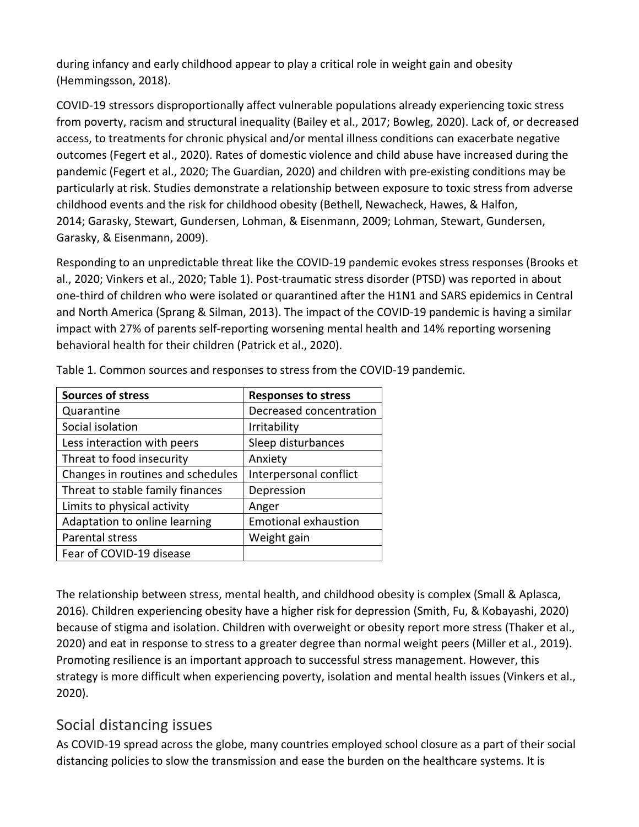during infancy and early childhood appear to play a critical role in weight gain and obesity (Hemmingsson, 2018).

COVID-19 stressors disproportionally affect vulnerable populations already experiencing toxic stress from poverty, racism and structural inequality (Bailey et al., 2017; Bowleg, 2020). Lack of, or decreased access, to treatments for chronic physical and/or mental illness conditions can exacerbate negative outcomes (Fegert et al., 2020). Rates of domestic violence and child abuse have increased during the pandemic (Fegert et al., 2020; The Guardian, 2020) and children with pre-existing conditions may be particularly at risk. Studies demonstrate a relationship between exposure to toxic stress from adverse childhood events and the risk for childhood obesity (Bethell, Newacheck, Hawes, & Halfon, 2014; Garasky, Stewart, Gundersen, Lohman, & Eisenmann, 2009; Lohman, Stewart, Gundersen, Garasky, & Eisenmann, 2009).

Responding to an unpredictable threat like the COVID-19 pandemic evokes stress responses (Brooks et al., 2020; Vinkers et al., 2020; Table 1). Post-traumatic stress disorder (PTSD) was reported in about one-third of children who were isolated or quarantined after the H1N1 and SARS epidemics in Central and North America (Sprang & Silman, 2013). The impact of the COVID-19 pandemic is having a similar impact with 27% of parents self-reporting worsening mental health and 14% reporting worsening behavioral health for their children (Patrick et al., 2020).

| <b>Sources of stress</b>          | <b>Responses to stress</b>  |
|-----------------------------------|-----------------------------|
| Quarantine                        | Decreased concentration     |
| Social isolation                  | Irritability                |
| Less interaction with peers       | Sleep disturbances          |
| Threat to food insecurity         | Anxiety                     |
| Changes in routines and schedules | Interpersonal conflict      |
| Threat to stable family finances  | Depression                  |
| Limits to physical activity       | Anger                       |
| Adaptation to online learning     | <b>Emotional exhaustion</b> |
| Parental stress                   | Weight gain                 |
| Fear of COVID-19 disease          |                             |

Table 1. Common sources and responses to stress from the COVID-19 pandemic.

The relationship between stress, mental health, and childhood obesity is complex (Small & Aplasca, 2016). Children experiencing obesity have a higher risk for depression (Smith, Fu, & Kobayashi, 2020) because of stigma and isolation. Children with overweight or obesity report more stress (Thaker et al., 2020) and eat in response to stress to a greater degree than normal weight peers (Miller et al., 2019). Promoting resilience is an important approach to successful stress management. However, this strategy is more difficult when experiencing poverty, isolation and mental health issues (Vinkers et al., 2020).

## Social distancing issues

As COVID-19 spread across the globe, many countries employed school closure as a part of their social distancing policies to slow the transmission and ease the burden on the healthcare systems. It is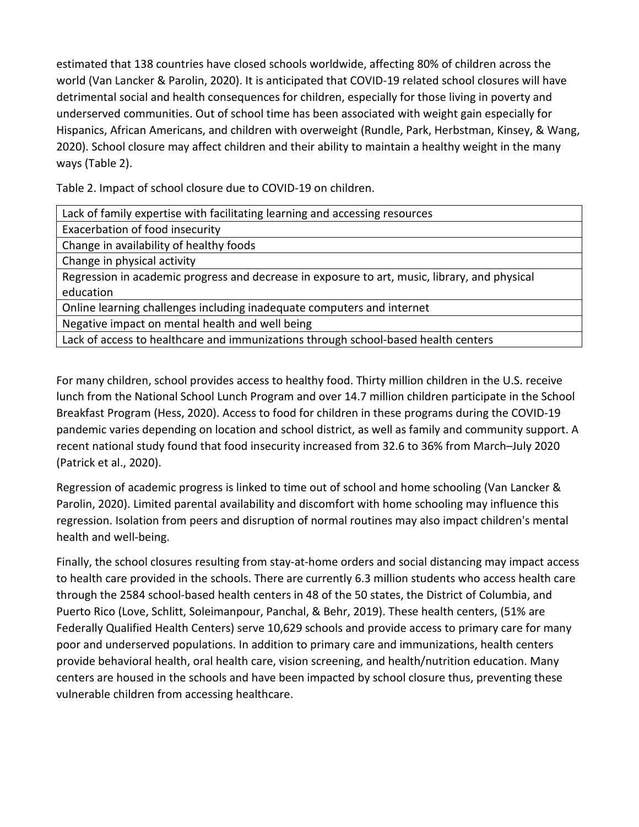estimated that 138 countries have closed schools worldwide, affecting 80% of children across the world (Van Lancker & Parolin, 2020). It is anticipated that COVID-19 related school closures will have detrimental social and health consequences for children, especially for those living in poverty and underserved communities. Out of school time has been associated with weight gain especially for Hispanics, African Americans, and children with overweight (Rundle, Park, Herbstman, Kinsey, & Wang, 2020). School closure may affect children and their ability to maintain a healthy weight in the many ways (Table 2).

Table 2. Impact of school closure due to COVID-19 on children.

| Lack of family expertise with facilitating learning and accessing resources |  |
|-----------------------------------------------------------------------------|--|
|                                                                             |  |

Exacerbation of food insecurity

Change in availability of healthy foods

Change in physical activity

Regression in academic progress and decrease in exposure to art, music, library, and physical education

Online learning challenges including inadequate computers and internet

Negative impact on mental health and well being

Lack of access to healthcare and immunizations through school-based health centers

For many children, school provides access to healthy food. Thirty million children in the U.S. receive lunch from the National School Lunch Program and over 14.7 million children participate in the School Breakfast Program (Hess, 2020). Access to food for children in these programs during the COVID-19 pandemic varies depending on location and school district, as well as family and community support. A recent national study found that food insecurity increased from 32.6 to 36% from March–July 2020 (Patrick et al., 2020).

Regression of academic progress is linked to time out of school and home schooling (Van Lancker & Parolin, 2020). Limited parental availability and discomfort with home schooling may influence this regression. Isolation from peers and disruption of normal routines may also impact children's mental health and well-being.

Finally, the school closures resulting from stay-at-home orders and social distancing may impact access to health care provided in the schools. There are currently 6.3 million students who access health care through the 2584 school-based health centers in 48 of the 50 states, the District of Columbia, and Puerto Rico (Love, Schlitt, Soleimanpour, Panchal, & Behr, 2019). These health centers, (51% are Federally Qualified Health Centers) serve 10,629 schools and provide access to primary care for many poor and underserved populations. In addition to primary care and immunizations, health centers provide behavioral health, oral health care, vision screening, and health/nutrition education. Many centers are housed in the schools and have been impacted by school closure thus, preventing these vulnerable children from accessing healthcare.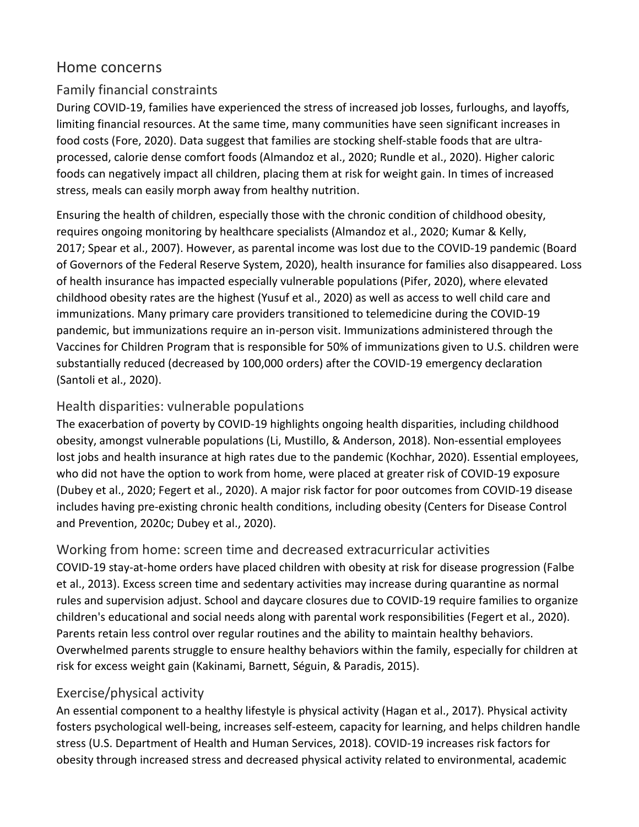## Home concerns

#### Family financial constraints

During COVID-19, families have experienced the stress of increased job losses, furloughs, and layoffs, limiting financial resources. At the same time, many communities have seen significant increases in food costs (Fore, 2020). Data suggest that families are stocking shelf-stable foods that are ultraprocessed, calorie dense comfort foods (Almandoz et al., 2020; Rundle et al., 2020). Higher caloric foods can negatively impact all children, placing them at risk for weight gain. In times of increased stress, meals can easily morph away from healthy nutrition.

Ensuring the health of children, especially those with the chronic condition of childhood obesity, requires ongoing monitoring by healthcare specialists (Almandoz et al., 2020; Kumar & Kelly, 2017; Spear et al., 2007). However, as parental income was lost due to the COVID-19 pandemic (Board of Governors of the Federal Reserve System, 2020), health insurance for families also disappeared. Loss of health insurance has impacted especially vulnerable populations (Pifer, 2020), where elevated childhood obesity rates are the highest (Yusuf et al., 2020) as well as access to well child care and immunizations. Many primary care providers transitioned to telemedicine during the COVID-19 pandemic, but immunizations require an in-person visit. Immunizations administered through the Vaccines for Children Program that is responsible for 50% of immunizations given to U.S. children were substantially reduced (decreased by 100,000 orders) after the COVID-19 emergency declaration (Santoli et al., 2020).

## Health disparities: vulnerable populations

The exacerbation of poverty by COVID-19 highlights ongoing health disparities, including childhood obesity, amongst vulnerable populations (Li, Mustillo, & Anderson, 2018). Non-essential employees lost jobs and health insurance at high rates due to the pandemic (Kochhar, 2020). Essential employees, who did not have the option to work from home, were placed at greater risk of COVID-19 exposure (Dubey et al., 2020; Fegert et al., 2020). A major risk factor for poor outcomes from COVID-19 disease includes having pre-existing chronic health conditions, including obesity (Centers for Disease Control and Prevention, 2020c; Dubey et al., 2020).

Working from home: screen time and decreased extracurricular activities COVID-19 stay-at-home orders have placed children with obesity at risk for disease progression (Falbe et al., 2013). Excess screen time and sedentary activities may increase during quarantine as normal rules and supervision adjust. School and daycare closures due to COVID-19 require families to organize children's educational and social needs along with parental work responsibilities (Fegert et al., 2020). Parents retain less control over regular routines and the ability to maintain healthy behaviors. Overwhelmed parents struggle to ensure healthy behaviors within the family, especially for children at risk for excess weight gain (Kakinami, Barnett, Séguin, & Paradis, 2015).

## Exercise/physical activity

An essential component to a healthy lifestyle is physical activity (Hagan et al., 2017). Physical activity fosters psychological well-being, increases self-esteem, capacity for learning, and helps children handle stress (U.S. Department of Health and Human Services, 2018). COVID-19 increases risk factors for obesity through increased stress and decreased physical activity related to environmental, academic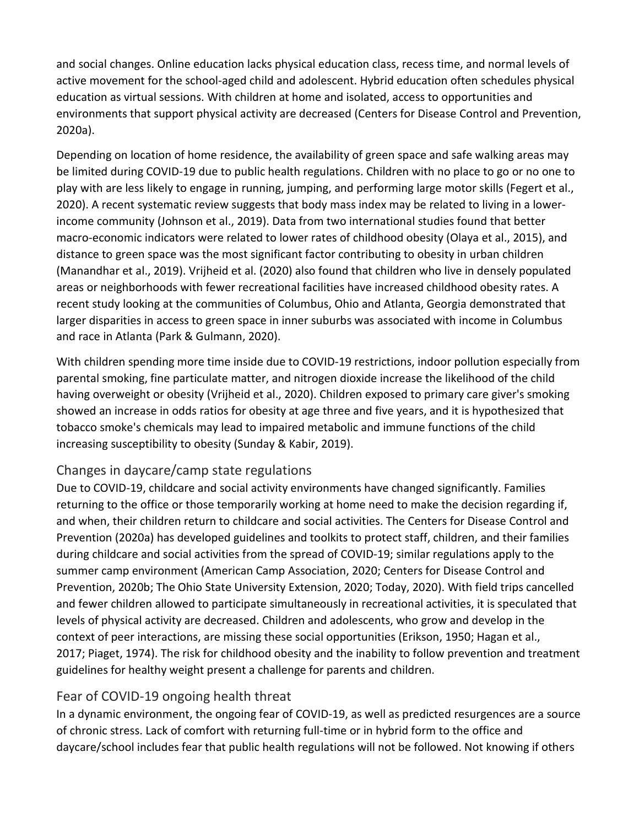and social changes. Online education lacks physical education class, recess time, and normal levels of active movement for the school-aged child and adolescent. Hybrid education often schedules physical education as virtual sessions. With children at home and isolated, access to opportunities and environments that support physical activity are decreased (Centers for Disease Control and Prevention, 2020a).

Depending on location of home residence, the availability of green space and safe walking areas may be limited during COVID-19 due to public health regulations. Children with no place to go or no one to play with are less likely to engage in running, jumping, and performing large motor skills (Fegert et al., 2020). A recent systematic review suggests that body mass index may be related to living in a lowerincome community (Johnson et al., 2019). Data from two international studies found that better macro-economic indicators were related to lower rates of childhood obesity (Olaya et al., 2015), and distance to green space was the most significant factor contributing to obesity in urban children (Manandhar et al., 2019). Vrijheid et al. (2020) also found that children who live in densely populated areas or neighborhoods with fewer recreational facilities have increased childhood obesity rates. A recent study looking at the communities of Columbus, Ohio and Atlanta, Georgia demonstrated that larger disparities in access to green space in inner suburbs was associated with income in Columbus and race in Atlanta (Park & Gulmann, 2020).

With children spending more time inside due to COVID-19 restrictions, indoor pollution especially from parental smoking, fine particulate matter, and nitrogen dioxide increase the likelihood of the child having overweight or obesity (Vrijheid et al., 2020). Children exposed to primary care giver's smoking showed an increase in odds ratios for obesity at age three and five years, and it is hypothesized that tobacco smoke's chemicals may lead to impaired metabolic and immune functions of the child increasing susceptibility to obesity (Sunday & Kabir, 2019).

## Changes in daycare/camp state regulations

Due to COVID-19, childcare and social activity environments have changed significantly. Families returning to the office or those temporarily working at home need to make the decision regarding if, and when, their children return to childcare and social activities. The Centers for Disease Control and Prevention (2020a) has developed guidelines and toolkits to protect staff, children, and their families during childcare and social activities from the spread of COVID-19; similar regulations apply to the summer camp environment (American Camp Association, 2020; Centers for Disease Control and Prevention, 2020b; The Ohio State University Extension, 2020; Today, 2020). With field trips cancelled and fewer children allowed to participate simultaneously in recreational activities, it is speculated that levels of physical activity are decreased. Children and adolescents, who grow and develop in the context of peer interactions, are missing these social opportunities (Erikson, 1950; Hagan et al., 2017; Piaget, 1974). The risk for childhood obesity and the inability to follow prevention and treatment guidelines for healthy weight present a challenge for parents and children.

## Fear of COVID-19 ongoing health threat

In a dynamic environment, the ongoing fear of COVID-19, as well as predicted resurgences are a source of chronic stress. Lack of comfort with returning full-time or in hybrid form to the office and daycare/school includes fear that public health regulations will not be followed. Not knowing if others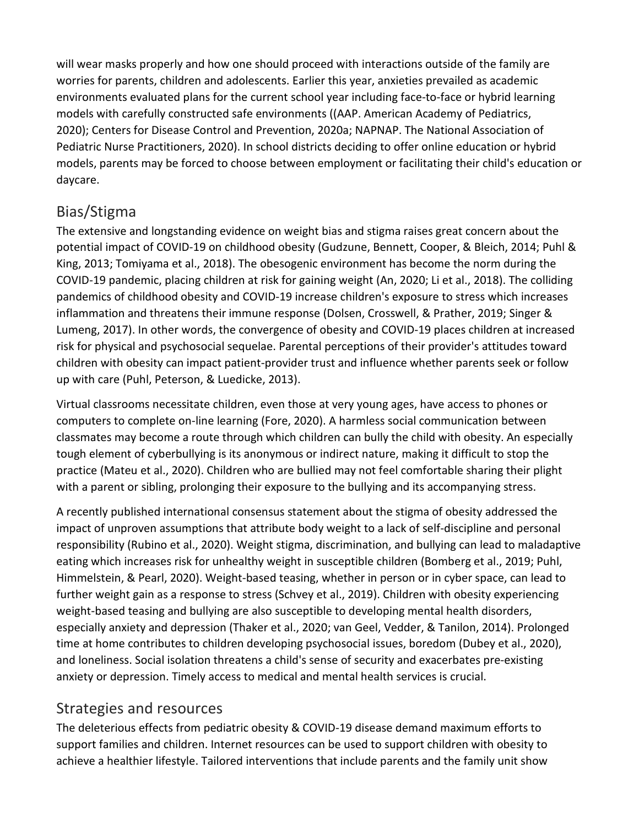will wear masks properly and how one should proceed with interactions outside of the family are worries for parents, children and adolescents. Earlier this year, anxieties prevailed as academic environments evaluated plans for the current school year including face-to-face or hybrid learning models with carefully constructed safe environments ((AAP. American Academy of Pediatrics, 2020); Centers for Disease Control and Prevention, 2020a; NAPNAP. The National Association of Pediatric Nurse Practitioners, 2020). In school districts deciding to offer online education or hybrid models, parents may be forced to choose between employment or facilitating their child's education or daycare.

## Bias/Stigma

The extensive and longstanding evidence on weight bias and stigma raises great concern about the potential impact of COVID-19 on childhood obesity (Gudzune, Bennett, Cooper, & Bleich, 2014; Puhl & King, 2013; Tomiyama et al., 2018). The obesogenic environment has become the norm during the COVID-19 pandemic, placing children at risk for gaining weight (An, 2020; Li et al., 2018). The colliding pandemics of childhood obesity and COVID-19 increase children's exposure to stress which increases inflammation and threatens their immune response (Dolsen, Crosswell, & Prather, 2019; Singer & Lumeng, 2017). In other words, the convergence of obesity and COVID-19 places children at increased risk for physical and psychosocial sequelae. Parental perceptions of their provider's attitudes toward children with obesity can impact patient-provider trust and influence whether parents seek or follow up with care (Puhl, Peterson, & Luedicke, 2013).

Virtual classrooms necessitate children, even those at very young ages, have access to phones or computers to complete on-line learning (Fore, 2020). A harmless social communication between classmates may become a route through which children can bully the child with obesity. An especially tough element of cyberbullying is its anonymous or indirect nature, making it difficult to stop the practice (Mateu et al., 2020). Children who are bullied may not feel comfortable sharing their plight with a parent or sibling, prolonging their exposure to the bullying and its accompanying stress.

A recently published international consensus statement about the stigma of obesity addressed the impact of unproven assumptions that attribute body weight to a lack of self-discipline and personal responsibility (Rubino et al., 2020). Weight stigma, discrimination, and bullying can lead to maladaptive eating which increases risk for unhealthy weight in susceptible children (Bomberg et al., 2019; Puhl, Himmelstein, & Pearl, 2020). Weight-based teasing, whether in person or in cyber space, can lead to further weight gain as a response to stress (Schvey et al., 2019). Children with obesity experiencing weight-based teasing and bullying are also susceptible to developing mental health disorders, especially anxiety and depression (Thaker et al., 2020; van Geel, Vedder, & Tanilon, 2014). Prolonged time at home contributes to children developing psychosocial issues, boredom (Dubey et al., 2020), and loneliness. Social isolation threatens a child's sense of security and exacerbates pre-existing anxiety or depression. Timely access to medical and mental health services is crucial.

## Strategies and resources

The deleterious effects from pediatric obesity & COVID-19 disease demand maximum efforts to support families and children. Internet resources can be used to support children with obesity to achieve a healthier lifestyle. Tailored interventions that include parents and the family unit show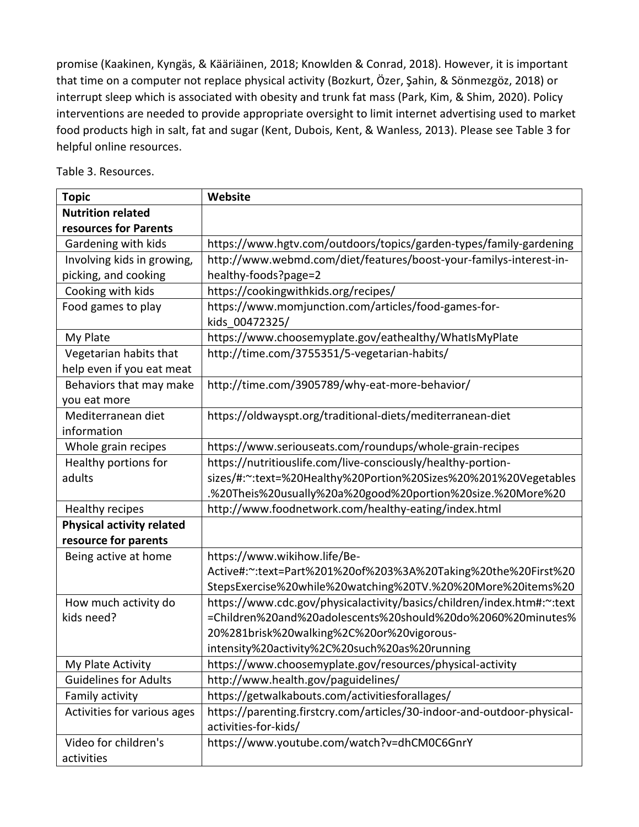promise (Kaakinen, Kyngäs, & Kääriäinen, 2018; Knowlden & Conrad, 2018). However, it is important that time on a computer not replace physical activity (Bozkurt, Özer, Şahin, & Sönmezgöz, 2018) or interrupt sleep which is associated with obesity and trunk fat mass (Park, Kim, & Shim, 2020). Policy interventions are needed to provide appropriate oversight to limit internet advertising used to market food products high in salt, fat and sugar (Kent, Dubois, Kent, & Wanless, 2013). Please see Table 3 for helpful online resources.

|  |  |  | Table 3. Resources. |
|--|--|--|---------------------|
|--|--|--|---------------------|

| <b>Topic</b>                     | Website                                                                 |
|----------------------------------|-------------------------------------------------------------------------|
| <b>Nutrition related</b>         |                                                                         |
| resources for Parents            |                                                                         |
| Gardening with kids              | https://www.hgtv.com/outdoors/topics/garden-types/family-gardening      |
| Involving kids in growing,       | http://www.webmd.com/diet/features/boost-your-familys-interest-in-      |
| picking, and cooking             | healthy-foods?page=2                                                    |
| Cooking with kids                | https://cookingwithkids.org/recipes/                                    |
| Food games to play               | https://www.momjunction.com/articles/food-games-for-                    |
|                                  | kids 00472325/                                                          |
| My Plate                         | https://www.choosemyplate.gov/eathealthy/WhatIsMyPlate                  |
| Vegetarian habits that           | http://time.com/3755351/5-vegetarian-habits/                            |
| help even if you eat meat        |                                                                         |
| Behaviors that may make          | http://time.com/3905789/why-eat-more-behavior/                          |
| you eat more                     |                                                                         |
| Mediterranean diet               | https://oldwayspt.org/traditional-diets/mediterranean-diet              |
| information                      |                                                                         |
| Whole grain recipes              | https://www.seriouseats.com/roundups/whole-grain-recipes                |
| Healthy portions for             | https://nutritiouslife.com/live-consciously/healthy-portion-            |
| adults                           | sizes/#:~:text=%20Healthy%20Portion%20Sizes%20%201%20Vegetables         |
|                                  | .%20Theis%20usually%20a%20good%20portion%20size.%20More%20              |
| Healthy recipes                  | http://www.foodnetwork.com/healthy-eating/index.html                    |
| <b>Physical activity related</b> |                                                                         |
| resource for parents             |                                                                         |
| Being active at home             | https://www.wikihow.life/Be-                                            |
|                                  | Active#:~:text=Part%201%20of%203%3A%20Taking%20the%20First%20           |
|                                  | StepsExercise%20while%20watching%20TV.%20%20More%20items%20             |
| How much activity do             | https://www.cdc.gov/physicalactivity/basics/children/index.htm#:~:text  |
| kids need?                       | =Children%20and%20adolescents%20should%20do%2060%20minutes%             |
|                                  | 20%281brisk%20walking%2C%20or%20vigorous-                               |
|                                  | intensity%20activity%2C%20such%20as%20running                           |
| My Plate Activity                | https://www.choosemyplate.gov/resources/physical-activity               |
| <b>Guidelines for Adults</b>     | http://www.health.gov/paguidelines/                                     |
| Family activity                  | https://getwalkabouts.com/activitiesforallages/                         |
| Activities for various ages      | https://parenting.firstcry.com/articles/30-indoor-and-outdoor-physical- |
|                                  | activities-for-kids/                                                    |
| Video for children's             | https://www.youtube.com/watch?v=dhCM0C6GnrY                             |
| activities                       |                                                                         |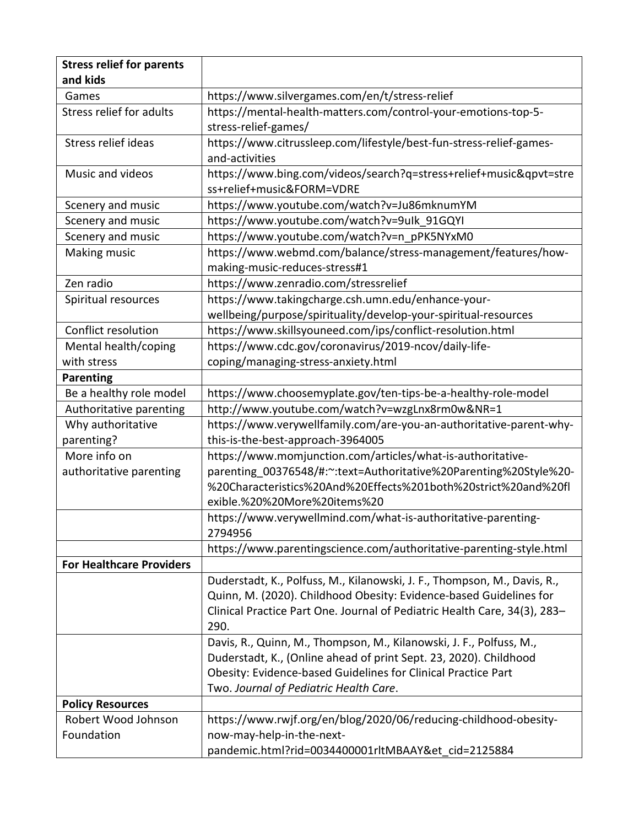| <b>Stress relief for parents</b> |                                                                           |
|----------------------------------|---------------------------------------------------------------------------|
| and kids                         |                                                                           |
| Games                            | https://www.silvergames.com/en/t/stress-relief                            |
| Stress relief for adults         | https://mental-health-matters.com/control-your-emotions-top-5-            |
|                                  | stress-relief-games/                                                      |
| Stress relief ideas              | https://www.citrussleep.com/lifestyle/best-fun-stress-relief-games-       |
|                                  | and-activities                                                            |
| Music and videos                 | https://www.bing.com/videos/search?q=stress+relief+music&qpvt=stre        |
|                                  | ss+relief+music&FORM=VDRE                                                 |
| Scenery and music                | https://www.youtube.com/watch?v=Ju86mknumYM                               |
| Scenery and music                | https://www.youtube.com/watch?v=9ulk 91GQYI                               |
| Scenery and music                | https://www.youtube.com/watch?v=n_pPK5NYxM0                               |
| Making music                     | https://www.webmd.com/balance/stress-management/features/how-             |
|                                  | making-music-reduces-stress#1                                             |
| Zen radio                        | https://www.zenradio.com/stressrelief                                     |
| Spiritual resources              | https://www.takingcharge.csh.umn.edu/enhance-your-                        |
|                                  | wellbeing/purpose/spirituality/develop-your-spiritual-resources           |
| Conflict resolution              | https://www.skillsyouneed.com/ips/conflict-resolution.html                |
| Mental health/coping             | https://www.cdc.gov/coronavirus/2019-ncov/daily-life-                     |
| with stress                      | coping/managing-stress-anxiety.html                                       |
| <b>Parenting</b>                 |                                                                           |
| Be a healthy role model          | https://www.choosemyplate.gov/ten-tips-be-a-healthy-role-model            |
| Authoritative parenting          | http://www.youtube.com/watch?v=wzgLnx8rm0w&NR=1                           |
| Why authoritative                | https://www.verywellfamily.com/are-you-an-authoritative-parent-why-       |
| parenting?                       | this-is-the-best-approach-3964005                                         |
| More info on                     | https://www.momjunction.com/articles/what-is-authoritative-               |
| authoritative parenting          | parenting 00376548/#:~:text=Authoritative%20Parenting%20Style%20-         |
|                                  | %20Characteristics%20And%20Effects%201both%20strict%20and%20fl            |
|                                  | exible.%20%20More%20items%20                                              |
|                                  | https://www.verywellmind.com/what-is-authoritative-parenting-             |
|                                  | 2794956                                                                   |
|                                  | https://www.parentingscience.com/authoritative-parenting-style.html       |
| <b>For Healthcare Providers</b>  |                                                                           |
|                                  | Duderstadt, K., Polfuss, M., Kilanowski, J. F., Thompson, M., Davis, R.,  |
|                                  | Quinn, M. (2020). Childhood Obesity: Evidence-based Guidelines for        |
|                                  | Clinical Practice Part One. Journal of Pediatric Health Care, 34(3), 283- |
|                                  | 290.                                                                      |
|                                  | Davis, R., Quinn, M., Thompson, M., Kilanowski, J. F., Polfuss, M.,       |
|                                  | Duderstadt, K., (Online ahead of print Sept. 23, 2020). Childhood         |
|                                  | Obesity: Evidence-based Guidelines for Clinical Practice Part             |
|                                  | Two. Journal of Pediatric Health Care.                                    |
| <b>Policy Resources</b>          |                                                                           |
| Robert Wood Johnson              | https://www.rwjf.org/en/blog/2020/06/reducing-childhood-obesity-          |
| Foundation                       | now-may-help-in-the-next-                                                 |
|                                  | pandemic.html?rid=0034400001rltMBAAY&et cid=2125884                       |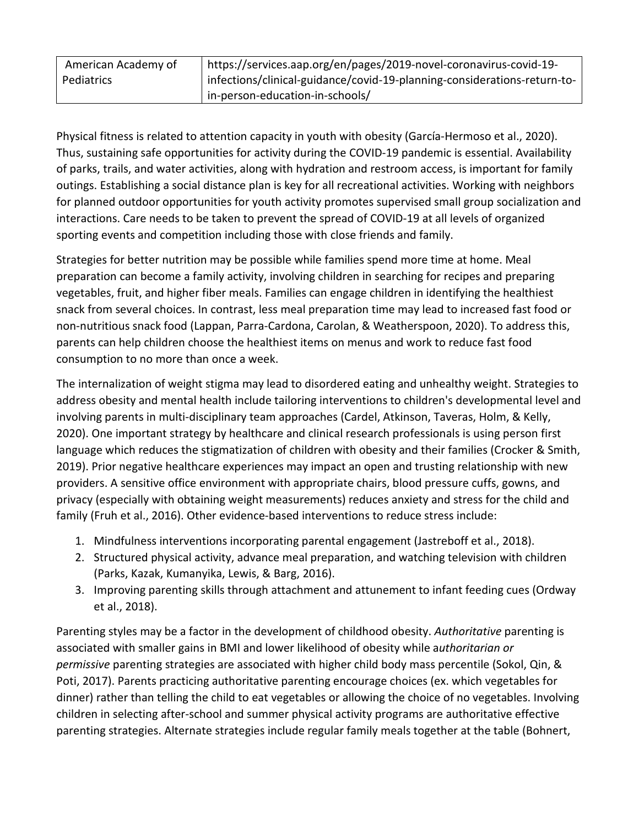| American Academy of | https://services.aap.org/en/pages/2019-novel-coronavirus-covid-19-       |
|---------------------|--------------------------------------------------------------------------|
| Pediatrics          | infections/clinical-guidance/covid-19-planning-considerations-return-to- |
|                     | in-person-education-in-schools/                                          |

Physical fitness is related to attention capacity in youth with obesity (García-Hermoso et al., 2020). Thus, sustaining safe opportunities for activity during the COVID-19 pandemic is essential. Availability of parks, trails, and water activities, along with hydration and restroom access, is important for family outings. Establishing a social distance plan is key for all recreational activities. Working with neighbors for planned outdoor opportunities for youth activity promotes supervised small group socialization and interactions. Care needs to be taken to prevent the spread of COVID-19 at all levels of organized sporting events and competition including those with close friends and family.

Strategies for better nutrition may be possible while families spend more time at home. Meal preparation can become a family activity, involving children in searching for recipes and preparing vegetables, fruit, and higher fiber meals. Families can engage children in identifying the healthiest snack from several choices. In contrast, less meal preparation time may lead to increased fast food or non-nutritious snack food (Lappan, Parra-Cardona, Carolan, & Weatherspoon, 2020). To address this, parents can help children choose the healthiest items on menus and work to reduce fast food consumption to no more than once a week.

The internalization of weight stigma may lead to disordered eating and unhealthy weight. Strategies to address obesity and mental health include tailoring interventions to children's developmental level and involving parents in multi-disciplinary team approaches (Cardel, Atkinson, Taveras, Holm, & Kelly, 2020). One important strategy by healthcare and clinical research professionals is using person first language which reduces the stigmatization of children with obesity and their families (Crocker & Smith, 2019). Prior negative healthcare experiences may impact an open and trusting relationship with new providers. A sensitive office environment with appropriate chairs, blood pressure cuffs, gowns, and privacy (especially with obtaining weight measurements) reduces anxiety and stress for the child and family (Fruh et al., 2016). Other evidence-based interventions to reduce stress include:

- 1. Mindfulness interventions incorporating parental engagement (Jastreboff et al., 2018).
- 2. Structured physical activity, advance meal preparation, and watching television with children (Parks, Kazak, Kumanyika, Lewis, & Barg, 2016).
- 3. Improving parenting skills through attachment and attunement to infant feeding cues (Ordway et al., 2018).

Parenting styles may be a factor in the development of childhood obesity. *Authoritative* parenting is associated with smaller gains in BMI and lower likelihood of obesity while a*uthoritarian or permissive* parenting strategies are associated with higher child body mass percentile (Sokol, Qin, & Poti, 2017). Parents practicing authoritative parenting encourage choices (ex. which vegetables for dinner) rather than telling the child to eat vegetables or allowing the choice of no vegetables. Involving children in selecting after-school and summer physical activity programs are authoritative effective parenting strategies. Alternate strategies include regular family meals together at the table (Bohnert,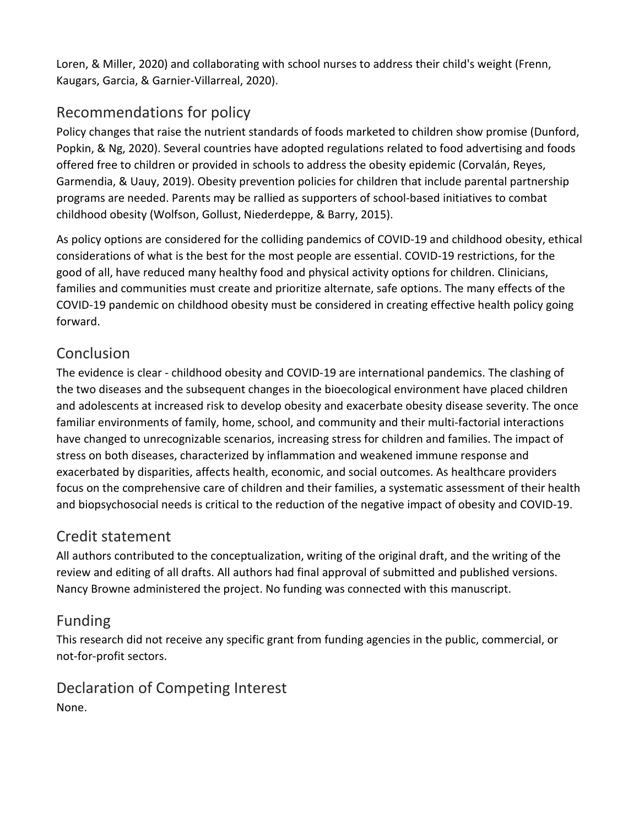Loren, & Miller, 2020) and collaborating with school nurses to address their child's weight (Frenn, Kaugars, Garcia, & Garnier-Villarreal, 2020).

# Recommendations for policy

Policy changes that raise the nutrient standards of foods marketed to children show promise (Dunford, Popkin, & Ng, 2020). Several countries have adopted regulations related to food advertising and foods offered free to children or provided in schools to address the obesity epidemic (Corvalán, Reyes, Garmendia, & Uauy, 2019). Obesity prevention policies for children that include parental partnership programs are needed. Parents may be rallied as supporters of school-based initiatives to combat childhood obesity (Wolfson, Gollust, Niederdeppe, & Barry, 2015).

As policy options are considered for the colliding pandemics of COVID-19 and childhood obesity, ethical considerations of what is the best for the most people are essential. COVID-19 restrictions, for the good of all, have reduced many healthy food and physical activity options for children. Clinicians, families and communities must create and prioritize alternate, safe options. The many effects of the COVID-19 pandemic on childhood obesity must be considered in creating effective health policy going forward.

# Conclusion

The evidence is clear - childhood obesity and COVID-19 are international pandemics. The clashing of the two diseases and the subsequent changes in the bioecological environment have placed children and adolescents at increased risk to develop obesity and exacerbate obesity disease severity. The once familiar environments of family, home, school, and community and their multi-factorial interactions have changed to unrecognizable scenarios, increasing stress for children and families. The impact of stress on both diseases, characterized by inflammation and weakened immune response and exacerbated by disparities, affects health, economic, and social outcomes. As healthcare providers focus on the comprehensive care of children and their families, a systematic assessment of their health and biopsychosocial needs is critical to the reduction of the negative impact of obesity and COVID-19.

## Credit statement

All authors contributed to the conceptualization, writing of the original draft, and the writing of the review and editing of all drafts. All authors had final approval of submitted and published versions. Nancy Browne administered the project. No funding was connected with this manuscript.

## Funding

This research did not receive any specific grant from funding agencies in the public, commercial, or not-for-profit sectors.

Declaration of Competing Interest None.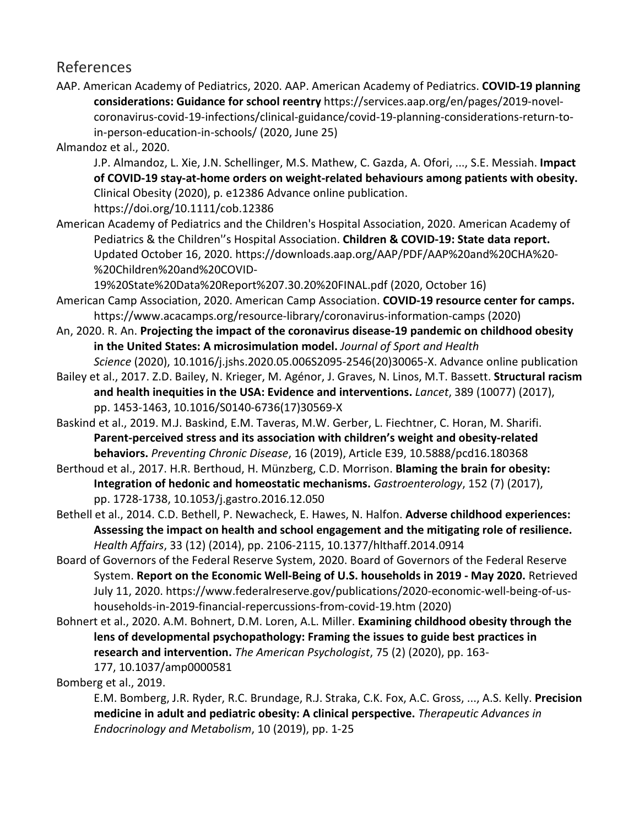## References

AAP. American Academy of Pediatrics, 2020. AAP. American Academy of Pediatrics. **COVID-19 planning considerations: Guidance for school reentry** https://services.aap.org/en/pages/2019-novelcoronavirus-covid-19-infections/clinical-guidance/covid-19-planning-considerations-return-toin-person-education-in-schools/ (2020, June 25)

Almandoz et al., 2020.

J.P. Almandoz, L. Xie, J.N. Schellinger, M.S. Mathew, C. Gazda, A. Ofori, ..., S.E. Messiah. **Impact of COVID-19 stay-at-home orders on weight-related behaviours among patients with obesity.**  Clinical Obesity (2020), p. e12386 Advance online publication.

https://doi.org/10.1111/cob.12386

American Academy of Pediatrics and the Children's Hospital Association, 2020. American Academy of Pediatrics & the Children''s Hospital Association. **Children & COVID-19: State data report.**  Updated October 16, 2020. https://downloads.aap.org/AAP/PDF/AAP%20and%20CHA%20- %20Children%20and%20COVID-

19%20State%20Data%20Report%207.30.20%20FINAL.pdf (2020, October 16)

- American Camp Association, 2020. American Camp Association. **COVID-19 resource center for camps.**  https://www.acacamps.org/resource-library/coronavirus-information-camps (2020)
- An, 2020. R. An. **Projecting the impact of the coronavirus disease-19 pandemic on childhood obesity in the United States: A microsimulation model.** *Journal of Sport and Health*
- *Science* (2020), 10.1016/j.jshs.2020.05.006S2095-2546(20)30065-X. Advance online publication Bailey et al., 2017. Z.D. Bailey, N. Krieger, M. Agénor, J. Graves, N. Linos, M.T. Bassett. **Structural racism** 
	- **and health inequities in the USA: Evidence and interventions.** *Lancet*, 389 (10077) (2017), pp. 1453-1463, 10.1016/S0140-6736(17)30569-X
- Baskind et al., 2019. M.J. Baskind, E.M. Taveras, M.W. Gerber, L. Fiechtner, C. Horan, M. Sharifi. **Parent-perceived stress and its association with children's weight and obesity-related behaviors.** *Preventing Chronic Disease*, 16 (2019), Article E39, 10.5888/pcd16.180368

Berthoud et al., 2017. H.R. Berthoud, H. Münzberg, C.D. Morrison. **Blaming the brain for obesity: Integration of hedonic and homeostatic mechanisms.** *Gastroenterology*, 152 (7) (2017), pp. 1728-1738, 10.1053/j.gastro.2016.12.050

Bethell et al., 2014. C.D. Bethell, P. Newacheck, E. Hawes, N. Halfon. **Adverse childhood experiences: Assessing the impact on health and school engagement and the mitigating role of resilience.**  *Health Affairs*, 33 (12) (2014), pp. 2106-2115, 10.1377/hlthaff.2014.0914

- Board of Governors of the Federal Reserve System, 2020. Board of Governors of the Federal Reserve System. **Report on the Economic Well-Being of U.S. households in 2019 - May 2020.** Retrieved July 11, 2020. https://www.federalreserve.gov/publications/2020-economic-well-being-of-ushouseholds-in-2019-financial-repercussions-from-covid-19.htm (2020)
- Bohnert et al., 2020. A.M. Bohnert, D.M. Loren, A.L. Miller. **Examining childhood obesity through the lens of developmental psychopathology: Framing the issues to guide best practices in research and intervention.** *The American Psychologist*, 75 (2) (2020), pp. 163- 177, 10.1037/amp0000581

Bomberg et al., 2019.

E.M. Bomberg, J.R. Ryder, R.C. Brundage, R.J. Straka, C.K. Fox, A.C. Gross, ..., A.S. Kelly. **Precision medicine in adult and pediatric obesity: A clinical perspective.** *Therapeutic Advances in Endocrinology and Metabolism*, 10 (2019), pp. 1-25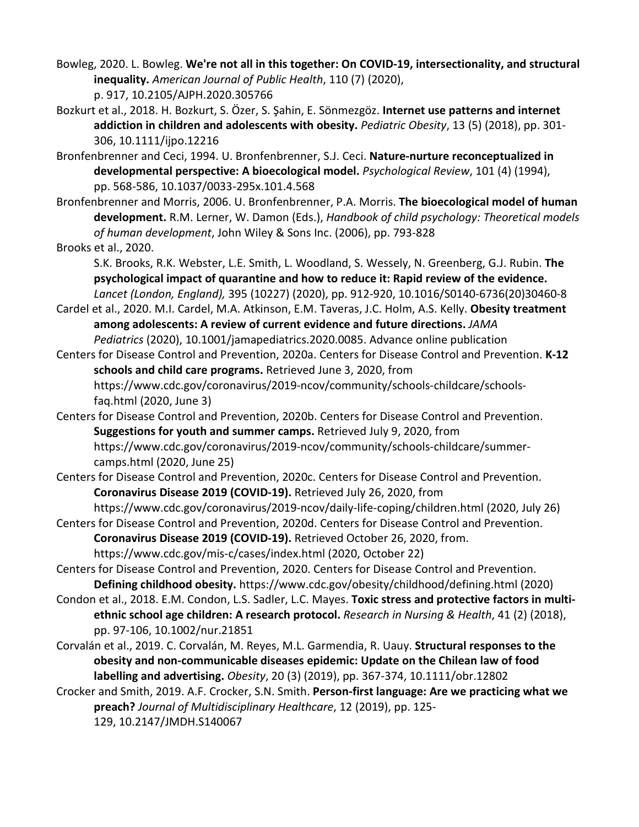Bowleg, 2020. L. Bowleg. **We're not all in this together: On COVID-19, intersectionality, and structural inequality.** *American Journal of Public Health*, 110 (7) (2020), p. 917, 10.2105/AJPH.2020.305766

- Bozkurt et al., 2018. H. Bozkurt, S. Özer, S. Şahin, E. Sönmezgöz. **Internet use patterns and internet addiction in children and adolescents with obesity.** *Pediatric Obesity*, 13 (5) (2018), pp. 301- 306, 10.1111/ijpo.12216
- Bronfenbrenner and Ceci, 1994. U. Bronfenbrenner, S.J. Ceci. **Nature-nurture reconceptualized in developmental perspective: A bioecological model.** *Psychological Review*, 101 (4) (1994), pp. 568-586, 10.1037/0033-295x.101.4.568
- Bronfenbrenner and Morris, 2006. U. Bronfenbrenner, P.A. Morris. **The bioecological model of human development.** R.M. Lerner, W. Damon (Eds.), *Handbook of child psychology: Theoretical models of human development*, John Wiley & Sons Inc. (2006), pp. 793-828

#### Brooks et al., 2020.

S.K. Brooks, R.K. Webster, L.E. Smith, L. Woodland, S. Wessely, N. Greenberg, G.J. Rubin. **The psychological impact of quarantine and how to reduce it: Rapid review of the evidence.**  *Lancet (London, England),* 395 (10227) (2020), pp. 912-920, 10.1016/S0140-6736(20)30460-8

Cardel et al., 2020. M.I. Cardel, M.A. Atkinson, E.M. Taveras, J.C. Holm, A.S. Kelly. **Obesity treatment among adolescents: A review of current evidence and future directions.** *JAMA Pediatrics* (2020), 10.1001/jamapediatrics.2020.0085. Advance online publication

- Centers for Disease Control and Prevention, 2020a. Centers for Disease Control and Prevention. **K-12 schools and child care programs.** Retrieved June 3, 2020, from https://www.cdc.gov/coronavirus/2019-ncov/community/schools-childcare/schools
	- faq.html (2020, June 3)
- Centers for Disease Control and Prevention, 2020b. Centers for Disease Control and Prevention. **Suggestions for youth and summer camps.** Retrieved July 9, 2020, from https://www.cdc.gov/coronavirus/2019-ncov/community/schools-childcare/summer-

camps.html (2020, June 25)

- Centers for Disease Control and Prevention, 2020c. Centers for Disease Control and Prevention. **Coronavirus Disease 2019 (COVID-19).** Retrieved July 26, 2020, from
- https://www.cdc.gov/coronavirus/2019-ncov/daily-life-coping/children.html (2020, July 26) Centers for Disease Control and Prevention, 2020d. Centers for Disease Control and Prevention.
	- **Coronavirus Disease 2019 (COVID-19).** Retrieved October 26, 2020, from.

https://www.cdc.gov/mis-c/cases/index.html (2020, October 22)

- Centers for Disease Control and Prevention, 2020. Centers for Disease Control and Prevention. **Defining childhood obesity.** https://www.cdc.gov/obesity/childhood/defining.html (2020)
- Condon et al., 2018. E.M. Condon, L.S. Sadler, L.C. Mayes. **Toxic stress and protective factors in multiethnic school age children: A research protocol.** *Research in Nursing & Health*, 41 (2) (2018), pp. 97-106, 10.1002/nur.21851
- Corvalán et al., 2019. C. Corvalán, M. Reyes, M.L. Garmendia, R. Uauy. **Structural responses to the obesity and non-communicable diseases epidemic: Update on the Chilean law of food labelling and advertising.** *Obesity*, 20 (3) (2019), pp. 367-374, 10.1111/obr.12802
- Crocker and Smith, 2019. A.F. Crocker, S.N. Smith. **Person-first language: Are we practicing what we preach?** *Journal of Multidisciplinary Healthcare*, 12 (2019), pp. 125- 129, 10.2147/JMDH.S140067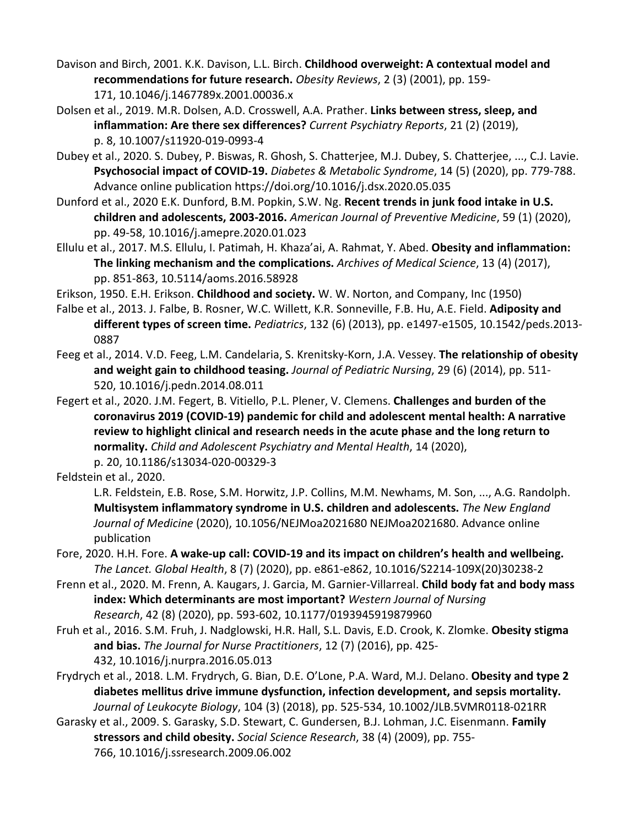Davison and Birch, 2001. K.K. Davison, L.L. Birch. **Childhood overweight: A contextual model and recommendations for future research.** *Obesity Reviews*, 2 (3) (2001), pp. 159- 171, 10.1046/j.1467789x.2001.00036.x

Dolsen et al., 2019. M.R. Dolsen, A.D. Crosswell, A.A. Prather. **Links between stress, sleep, and inflammation: Are there sex differences?** *Current Psychiatry Reports*, 21 (2) (2019), p. 8, 10.1007/s11920-019-0993-4

- Dubey et al., 2020. S. Dubey, P. Biswas, R. Ghosh, S. Chatterjee, M.J. Dubey, S. Chatterjee, ..., C.J. Lavie. **Psychosocial impact of COVID-19.** *Diabetes & Metabolic Syndrome*, 14 (5) (2020), pp. 779-788. Advance online publication https://doi.org/10.1016/j.dsx.2020.05.035
- Dunford et al., 2020 E.K. Dunford, B.M. Popkin, S.W. Ng. **Recent trends in junk food intake in U.S. children and adolescents, 2003-2016.** *American Journal of Preventive Medicine*, 59 (1) (2020), pp. 49-58, 10.1016/j.amepre.2020.01.023
- Ellulu et al., 2017. M.S. Ellulu, I. Patimah, H. Khaza'ai, A. Rahmat, Y. Abed. **Obesity and inflammation: The linking mechanism and the complications.** *Archives of Medical Science*, 13 (4) (2017), pp. 851-863, 10.5114/aoms.2016.58928

Erikson, 1950. E.H. Erikson. **Childhood and society.** W. W. Norton, and Company, Inc (1950)

- Falbe et al., 2013. J. Falbe, B. Rosner, W.C. Willett, K.R. Sonneville, F.B. Hu, A.E. Field. **Adiposity and different types of screen time.** *Pediatrics*, 132 (6) (2013), pp. e1497-e1505, 10.1542/peds.2013- 0887
- Feeg et al., 2014. V.D. Feeg, L.M. Candelaria, S. Krenitsky-Korn, J.A. Vessey. **The relationship of obesity and weight gain to childhood teasing.** *Journal of Pediatric Nursing*, 29 (6) (2014), pp. 511- 520, 10.1016/j.pedn.2014.08.011
- Fegert et al., 2020. J.M. Fegert, B. Vitiello, P.L. Plener, V. Clemens. **Challenges and burden of the coronavirus 2019 (COVID-19) pandemic for child and adolescent mental health: A narrative review to highlight clinical and research needs in the acute phase and the long return to normality.** *Child and Adolescent Psychiatry and Mental Health*, 14 (2020), p. 20, 10.1186/s13034-020-00329-3

Feldstein et al., 2020.

L.R. Feldstein, E.B. Rose, S.M. Horwitz, J.P. Collins, M.M. Newhams, M. Son, ..., A.G. Randolph. **Multisystem inflammatory syndrome in U.S. children and adolescents.** *The New England Journal of Medicine* (2020), 10.1056/NEJMoa2021680 NEJMoa2021680. Advance online publication

- Fore, 2020. H.H. Fore. **A wake-up call: COVID-19 and its impact on children's health and wellbeing.**  *The Lancet. Global Health*, 8 (7) (2020), pp. e861-e862, 10.1016/S2214-109X(20)30238-2
- Frenn et al., 2020. M. Frenn, A. Kaugars, J. Garcia, M. Garnier-Villarreal. **Child body fat and body mass index: Which determinants are most important?** *Western Journal of Nursing Research*, 42 (8) (2020), pp. 593-602, 10.1177/0193945919879960
- Fruh et al., 2016. S.M. Fruh, J. Nadglowski, H.R. Hall, S.L. Davis, E.D. Crook, K. Zlomke. **Obesity stigma and bias.** *The Journal for Nurse Practitioners*, 12 (7) (2016), pp. 425- 432, 10.1016/j.nurpra.2016.05.013
- Frydrych et al., 2018. L.M. Frydrych, G. Bian, D.E. O'Lone, P.A. Ward, M.J. Delano. **Obesity and type 2 diabetes mellitus drive immune dysfunction, infection development, and sepsis mortality.**  *Journal of Leukocyte Biology*, 104 (3) (2018), pp. 525-534, 10.1002/JLB.5VMR0118-021RR
- Garasky et al., 2009. S. Garasky, S.D. Stewart, C. Gundersen, B.J. Lohman, J.C. Eisenmann. **Family stressors and child obesity.** *Social Science Research*, 38 (4) (2009), pp. 755- 766, 10.1016/j.ssresearch.2009.06.002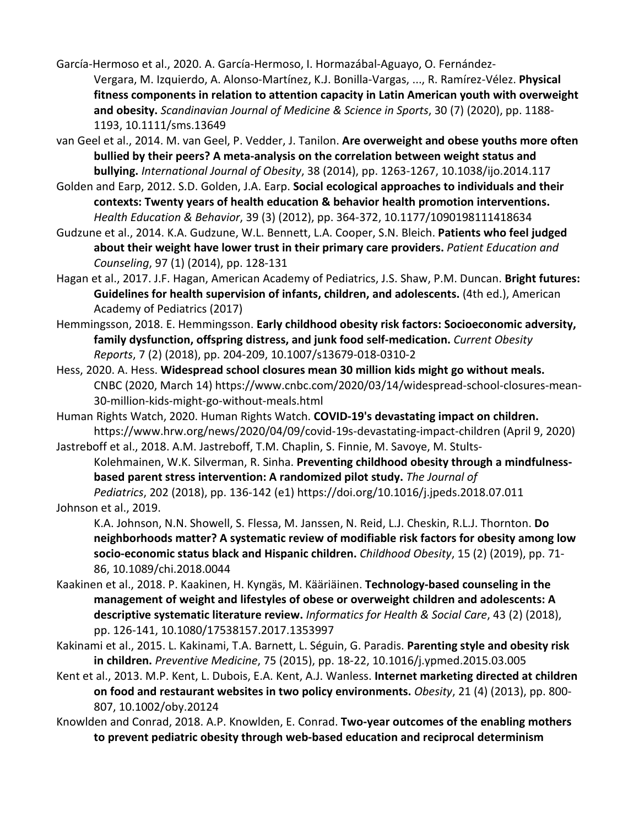García-Hermoso et al., 2020. A. García-Hermoso, I. Hormazábal-Aguayo, O. Fernández-Vergara, M. Izquierdo, A. Alonso-Martínez, K.J. Bonilla-Vargas, ..., R. Ramírez-Vélez. **Physical fitness components in relation to attention capacity in Latin American youth with overweight and obesity.** *Scandinavian Journal of Medicine & Science in Sports*, 30 (7) (2020), pp. 1188- 1193, 10.1111/sms.13649

van Geel et al., 2014. M. van Geel, P. Vedder, J. Tanilon. **Are overweight and obese youths more often bullied by their peers? A meta-analysis on the correlation between weight status and bullying.** *International Journal of Obesity*, 38 (2014), pp. 1263-1267, 10.1038/ijo.2014.117

Golden and Earp, 2012. S.D. Golden, J.A. Earp. **Social ecological approaches to individuals and their contexts: Twenty years of health education & behavior health promotion interventions.**  *Health Education & Behavior*, 39 (3) (2012), pp. 364-372, 10.1177/1090198111418634

Gudzune et al., 2014. K.A. Gudzune, W.L. Bennett, L.A. Cooper, S.N. Bleich. **Patients who feel judged about their weight have lower trust in their primary care providers.** *Patient Education and Counseling*, 97 (1) (2014), pp. 128-131

Hagan et al., 2017. J.F. Hagan, American Academy of Pediatrics, J.S. Shaw, P.M. Duncan. **Bright futures: Guidelines for health supervision of infants, children, and adolescents.** (4th ed.), American Academy of Pediatrics (2017)

Hemmingsson, 2018. E. Hemmingsson. **Early childhood obesity risk factors: Socioeconomic adversity, family dysfunction, offspring distress, and junk food self-medication.** *Current Obesity Reports*, 7 (2) (2018), pp. 204-209, 10.1007/s13679-018-0310-2

Hess, 2020. A. Hess. **Widespread school closures mean 30 million kids might go without meals.**  CNBC (2020, March 14) https://www.cnbc.com/2020/03/14/widespread-school-closures-mean-30-million-kids-might-go-without-meals.html

Human Rights Watch, 2020. Human Rights Watch. **COVID-19's devastating impact on children.**  https://www.hrw.org/news/2020/04/09/covid-19s-devastating-impact-children (April 9, 2020)

Jastreboff et al., 2018. A.M. Jastreboff, T.M. Chaplin, S. Finnie, M. Savoye, M. Stults-Kolehmainen, W.K. Silverman, R. Sinha. **Preventing childhood obesity through a mindfulnessbased parent stress intervention: A randomized pilot study.** *The Journal of Pediatrics*, 202 (2018), pp. 136-142 (e1) https://doi.org/10.1016/j.jpeds.2018.07.011

Johnson et al., 2019.

K.A. Johnson, N.N. Showell, S. Flessa, M. Janssen, N. Reid, L.J. Cheskin, R.L.J. Thornton. **Do neighborhoods matter? A systematic review of modifiable risk factors for obesity among low socio-economic status black and Hispanic children.** *Childhood Obesity*, 15 (2) (2019), pp. 71- 86, 10.1089/chi.2018.0044

Kaakinen et al., 2018. P. Kaakinen, H. Kyngäs, M. Kääriäinen. **Technology-based counseling in the management of weight and lifestyles of obese or overweight children and adolescents: A descriptive systematic literature review.** *Informatics for Health & Social Care*, 43 (2) (2018), pp. 126-141, 10.1080/17538157.2017.1353997

Kakinami et al., 2015. L. Kakinami, T.A. Barnett, L. Séguin, G. Paradis. **Parenting style and obesity risk in children.** *Preventive Medicine*, 75 (2015), pp. 18-22, 10.1016/j.ypmed.2015.03.005

Kent et al., 2013. M.P. Kent, L. Dubois, E.A. Kent, A.J. Wanless. **Internet marketing directed at children on food and restaurant websites in two policy environments.** *Obesity*, 21 (4) (2013), pp. 800- 807, 10.1002/oby.20124

Knowlden and Conrad, 2018. A.P. Knowlden, E. Conrad. **Two-year outcomes of the enabling mothers to prevent pediatric obesity through web-based education and reciprocal determinism**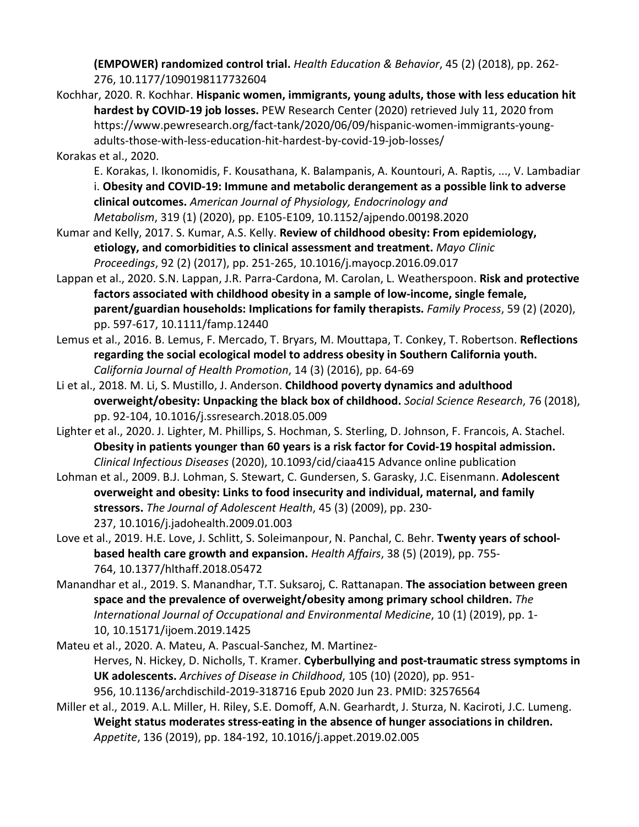**(EMPOWER) randomized control trial.** *Health Education & Behavior*, 45 (2) (2018), pp. 262- 276, 10.1177/1090198117732604

- Kochhar, 2020. R. Kochhar. **Hispanic women, immigrants, young adults, those with less education hit hardest by COVID-19 job losses.** PEW Research Center (2020) retrieved July 11, 2020 from https://www.pewresearch.org/fact-tank/2020/06/09/hispanic-women-immigrants-youngadults-those-with-less-education-hit-hardest-by-covid-19-job-losses/
- Korakas et al., 2020.
	- E. Korakas, I. Ikonomidis, F. Kousathana, K. Balampanis, A. Kountouri, A. Raptis, ..., V. Lambadiar i. **Obesity and COVID-19: Immune and metabolic derangement as a possible link to adverse clinical outcomes.** *American Journal of Physiology, Endocrinology and Metabolism*, 319 (1) (2020), pp. E105-E109, 10.1152/ajpendo.00198.2020
- Kumar and Kelly, 2017. S. Kumar, A.S. Kelly. **Review of childhood obesity: From epidemiology, etiology, and comorbidities to clinical assessment and treatment.** *Mayo Clinic Proceedings*, 92 (2) (2017), pp. 251-265, 10.1016/j.mayocp.2016.09.017
- Lappan et al., 2020. S.N. Lappan, J.R. Parra-Cardona, M. Carolan, L. Weatherspoon. **Risk and protective factors associated with childhood obesity in a sample of low-income, single female, parent/guardian households: Implications for family therapists.** *Family Process*, 59 (2) (2020), pp. 597-617, 10.1111/famp.12440
- Lemus et al., 2016. B. Lemus, F. Mercado, T. Bryars, M. Mouttapa, T. Conkey, T. Robertson. **Reflections regarding the social ecological model to address obesity in Southern California youth.**  *California Journal of Health Promotion*, 14 (3) (2016), pp. 64-69
- Li et al., 2018. M. Li, S. Mustillo, J. Anderson. **Childhood poverty dynamics and adulthood overweight/obesity: Unpacking the black box of childhood.** *Social Science Research*, 76 (2018), pp. 92-104, 10.1016/j.ssresearch.2018.05.009
- Lighter et al., 2020. J. Lighter, M. Phillips, S. Hochman, S. Sterling, D. Johnson, F. Francois, A. Stachel. **Obesity in patients younger than 60 years is a risk factor for Covid-19 hospital admission.**  *Clinical Infectious Diseases* (2020), 10.1093/cid/ciaa415 Advance online publication
- Lohman et al., 2009. B.J. Lohman, S. Stewart, C. Gundersen, S. Garasky, J.C. Eisenmann. **Adolescent overweight and obesity: Links to food insecurity and individual, maternal, and family stressors.** *The Journal of Adolescent Health*, 45 (3) (2009), pp. 230- 237, 10.1016/j.jadohealth.2009.01.003
- Love et al., 2019. H.E. Love, J. Schlitt, S. Soleimanpour, N. Panchal, C. Behr. **Twenty years of schoolbased health care growth and expansion.** *Health Affairs*, 38 (5) (2019), pp. 755- 764, 10.1377/hlthaff.2018.05472
- Manandhar et al., 2019. S. Manandhar, T.T. Suksaroj, C. Rattanapan. **The association between green space and the prevalence of overweight/obesity among primary school children.** *The International Journal of Occupational and Environmental Medicine*, 10 (1) (2019), pp. 1- 10, 10.15171/ijoem.2019.1425
- Mateu et al., 2020. A. Mateu, A. Pascual-Sanchez, M. Martinez-Herves, N. Hickey, D. Nicholls, T. Kramer. **Cyberbullying and post-traumatic stress symptoms in UK adolescents.** *Archives of Disease in Childhood*, 105 (10) (2020), pp. 951- 956, 10.1136/archdischild-2019-318716 Epub 2020 Jun 23. PMID: 32576564
- Miller et al., 2019. A.L. Miller, H. Riley, S.E. Domoff, A.N. Gearhardt, J. Sturza, N. Kaciroti, J.C. Lumeng. **Weight status moderates stress-eating in the absence of hunger associations in children.**  *Appetite*, 136 (2019), pp. 184-192, 10.1016/j.appet.2019.02.005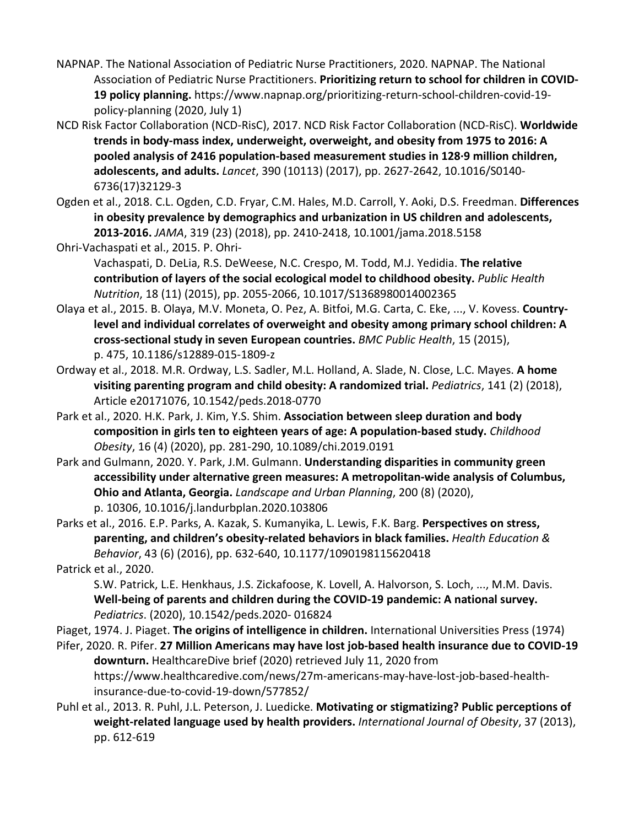- NAPNAP. The National Association of Pediatric Nurse Practitioners, 2020. NAPNAP. The National Association of Pediatric Nurse Practitioners. **Prioritizing return to school for children in COVID-19 policy planning.** https://www.napnap.org/prioritizing-return-school-children-covid-19 policy-planning (2020, July 1)
- NCD Risk Factor Collaboration (NCD-RisC), 2017. NCD Risk Factor Collaboration (NCD-RisC). **Worldwide trends in body-mass index, underweight, overweight, and obesity from 1975 to 2016: A pooled analysis of 2416 population-based measurement studies in 128·9 million children, adolescents, and adults.** *Lancet*, 390 (10113) (2017), pp. 2627-2642, 10.1016/S0140- 6736(17)32129-3
- Ogden et al., 2018. C.L. Ogden, C.D. Fryar, C.M. Hales, M.D. Carroll, Y. Aoki, D.S. Freedman. **Differences in obesity prevalence by demographics and urbanization in US children and adolescents, 2013-2016.** *JAMA*, 319 (23) (2018), pp. 2410-2418, 10.1001/jama.2018.5158
- Ohri-Vachaspati et al., 2015. P. Ohri-
	- Vachaspati, D. DeLia, R.S. DeWeese, N.C. Crespo, M. Todd, M.J. Yedidia. **The relative contribution of layers of the social ecological model to childhood obesity.** *Public Health Nutrition*, 18 (11) (2015), pp. 2055-2066, 10.1017/S1368980014002365
- Olaya et al., 2015. B. Olaya, M.V. Moneta, O. Pez, A. Bitfoi, M.G. Carta, C. Eke, ..., V. Kovess. **Countrylevel and individual correlates of overweight and obesity among primary school children: A cross-sectional study in seven European countries.** *BMC Public Health*, 15 (2015), p. 475, 10.1186/s12889-015-1809-z
- Ordway et al., 2018. M.R. Ordway, L.S. Sadler, M.L. Holland, A. Slade, N. Close, L.C. Mayes. **A home visiting parenting program and child obesity: A randomized trial.** *Pediatrics*, 141 (2) (2018), Article e20171076, 10.1542/peds.2018-0770
- Park et al., 2020. H.K. Park, J. Kim, Y.S. Shim. **Association between sleep duration and body composition in girls ten to eighteen years of age: A population-based study.** *Childhood Obesity*, 16 (4) (2020), pp. 281-290, 10.1089/chi.2019.0191
- Park and Gulmann, 2020. Y. Park, J.M. Gulmann. **Understanding disparities in community green accessibility under alternative green measures: A metropolitan-wide analysis of Columbus, Ohio and Atlanta, Georgia.** *Landscape and Urban Planning*, 200 (8) (2020), p. 10306, 10.1016/j.landurbplan.2020.103806
- Parks et al., 2016. E.P. Parks, A. Kazak, S. Kumanyika, L. Lewis, F.K. Barg. **Perspectives on stress, parenting, and children's obesity-related behaviors in black families.** *Health Education & Behavior*, 43 (6) (2016), pp. 632-640, 10.1177/1090198115620418
- Patrick et al., 2020.
	- S.W. Patrick, L.E. Henkhaus, J.S. Zickafoose, K. Lovell, A. Halvorson, S. Loch, ..., M.M. Davis. **Well-being of parents and children during the COVID-19 pandemic: A national survey.**  *Pediatrics*. (2020), 10.1542/peds.2020- 016824
- Piaget, 1974. J. Piaget. **The origins of intelligence in children.** International Universities Press (1974)
- Pifer, 2020. R. Pifer. **27 Million Americans may have lost job-based health insurance due to COVID-19 downturn.** HealthcareDive brief (2020) retrieved July 11, 2020 from https://www.healthcaredive.com/news/27m-americans-may-have-lost-job-based-healthinsurance-due-to-covid-19-down/577852/
- Puhl et al., 2013. R. Puhl, J.L. Peterson, J. Luedicke. **Motivating or stigmatizing? Public perceptions of weight-related language used by health providers.** *International Journal of Obesity*, 37 (2013), pp. 612-619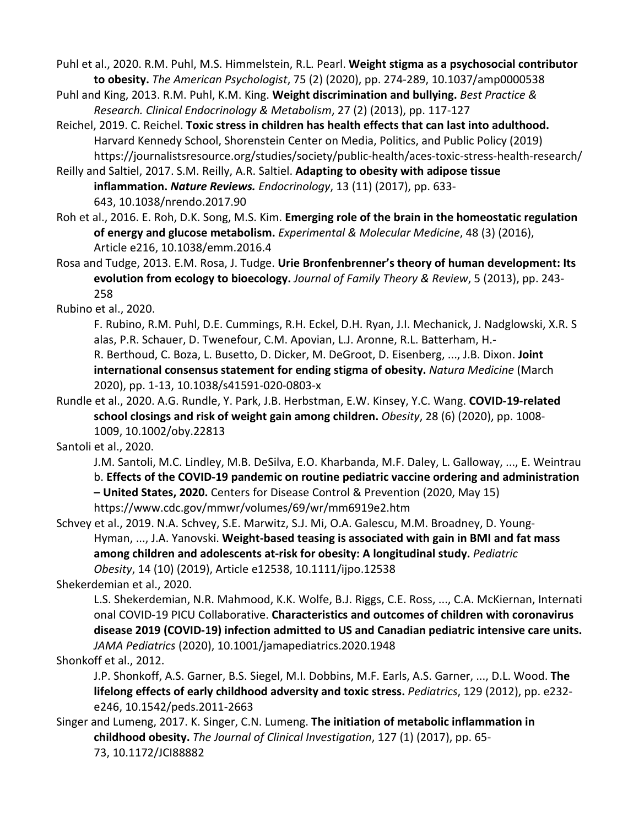Puhl et al., 2020. R.M. Puhl, M.S. Himmelstein, R.L. Pearl. **Weight stigma as a psychosocial contributor to obesity.** *The American Psychologist*, 75 (2) (2020), pp. 274-289, 10.1037/amp0000538

Puhl and King, 2013. R.M. Puhl, K.M. King. **Weight discrimination and bullying.** *Best Practice & Research. Clinical Endocrinology & Metabolism*, 27 (2) (2013), pp. 117-127

Reichel, 2019. C. Reichel. **Toxic stress in children has health effects that can last into adulthood.**  Harvard Kennedy School, Shorenstein Center on Media, Politics, and Public Policy (2019) https://journalistsresource.org/studies/society/public-health/aces-toxic-stress-health-research/

Reilly and Saltiel, 2017. S.M. Reilly, A.R. Saltiel. **Adapting to obesity with adipose tissue inflammation.** *Nature Reviews. Endocrinology*, 13 (11) (2017), pp. 633- 643, 10.1038/nrendo.2017.90

Roh et al., 2016. E. Roh, D.K. Song, M.S. Kim. **Emerging role of the brain in the homeostatic regulation of energy and glucose metabolism.** *Experimental & Molecular Medicine*, 48 (3) (2016), Article e216, 10.1038/emm.2016.4

Rosa and Tudge, 2013. E.M. Rosa, J. Tudge. **Urie Bronfenbrenner's theory of human development: Its evolution from ecology to bioecology.** *Journal of Family Theory & Review*, 5 (2013), pp. 243- 258

Rubino et al., 2020.

F. Rubino, R.M. Puhl, D.E. Cummings, R.H. Eckel, D.H. Ryan, J.I. Mechanick, J. Nadglowski, X.R. S alas, P.R. Schauer, D. Twenefour, C.M. Apovian, L.J. Aronne, R.L. Batterham, H.- R. Berthoud, C. Boza, L. Busetto, D. Dicker, M. DeGroot, D. Eisenberg, ..., J.B. Dixon. **Joint international consensus statement for ending stigma of obesity.** *Natura Medicine* (March 2020), pp. 1-13, 10.1038/s41591-020-0803-x

Rundle et al., 2020. A.G. Rundle, Y. Park, J.B. Herbstman, E.W. Kinsey, Y.C. Wang. **COVID-19-related school closings and risk of weight gain among children.** *Obesity*, 28 (6) (2020), pp. 1008- 1009, 10.1002/oby.22813

Santoli et al., 2020.

J.M. Santoli, M.C. Lindley, M.B. DeSilva, E.O. Kharbanda, M.F. Daley, L. Galloway, ..., E. Weintrau b. **Effects of the COVID-19 pandemic on routine pediatric vaccine ordering and administration – United States, 2020.** Centers for Disease Control & Prevention (2020, May 15) https://www.cdc.gov/mmwr/volumes/69/wr/mm6919e2.htm

Schvey et al., 2019. N.A. Schvey, S.E. Marwitz, S.J. Mi, O.A. Galescu, M.M. Broadney, D. Young-Hyman, ..., J.A. Yanovski. **Weight-based teasing is associated with gain in BMI and fat mass among children and adolescents at-risk for obesity: A longitudinal study.** *Pediatric Obesity*, 14 (10) (2019), Article e12538, 10.1111/ijpo.12538

Shekerdemian et al., 2020.

L.S. Shekerdemian, N.R. Mahmood, K.K. Wolfe, B.J. Riggs, C.E. Ross, ..., C.A. McKiernan, Internati onal COVID-19 PICU Collaborative. **Characteristics and outcomes of children with coronavirus disease 2019 (COVID-19) infection admitted to US and Canadian pediatric intensive care units.**  *JAMA Pediatrics* (2020), 10.1001/jamapediatrics.2020.1948

Shonkoff et al., 2012.

J.P. Shonkoff, A.S. Garner, B.S. Siegel, M.I. Dobbins, M.F. Earls, A.S. Garner, ..., D.L. Wood. **The lifelong effects of early childhood adversity and toxic stress.** *Pediatrics*, 129 (2012), pp. e232 e246, 10.1542/peds.2011-2663

Singer and Lumeng, 2017. K. Singer, C.N. Lumeng. **The initiation of metabolic inflammation in childhood obesity.** *The Journal of Clinical Investigation*, 127 (1) (2017), pp. 65- 73, 10.1172/JCI88882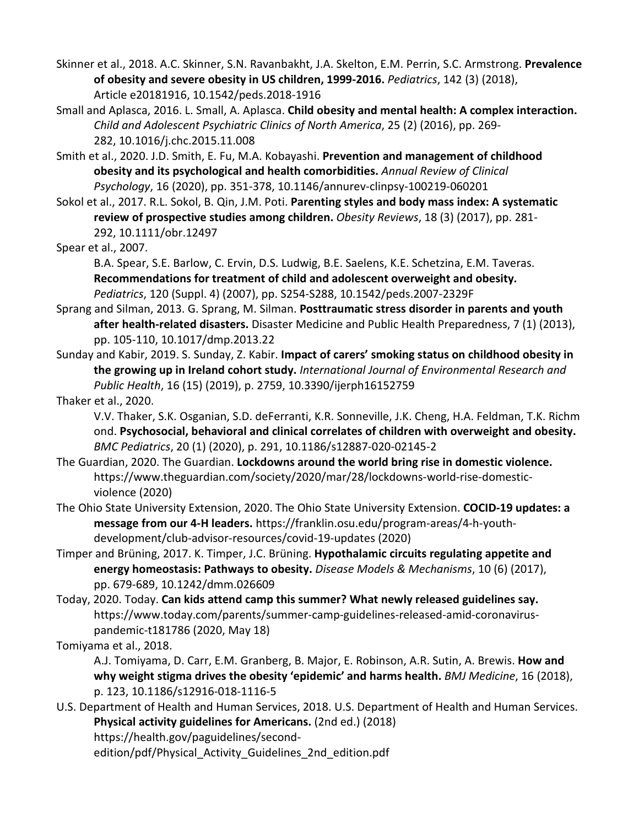Skinner et al., 2018. A.C. Skinner, S.N. Ravanbakht, J.A. Skelton, E.M. Perrin, S.C. Armstrong. **Prevalence of obesity and severe obesity in US children, 1999-2016.** *Pediatrics*, 142 (3) (2018), Article e20181916, 10.1542/peds.2018-1916

Small and Aplasca, 2016. L. Small, A. Aplasca. **Child obesity and mental health: A complex interaction.**  *Child and Adolescent Psychiatric Clinics of North America*, 25 (2) (2016), pp. 269- 282, 10.1016/j.chc.2015.11.008

Smith et al., 2020. J.D. Smith, E. Fu, M.A. Kobayashi. **Prevention and management of childhood obesity and its psychological and health comorbidities.** *Annual Review of Clinical Psychology*, 16 (2020), pp. 351-378, 10.1146/annurev-clinpsy-100219-060201

Sokol et al., 2017. R.L. Sokol, B. Qin, J.M. Poti. **Parenting styles and body mass index: A systematic review of prospective studies among children.** *Obesity Reviews*, 18 (3) (2017), pp. 281- 292, 10.1111/obr.12497

Spear et al., 2007.

B.A. Spear, S.E. Barlow, C. Ervin, D.S. Ludwig, B.E. Saelens, K.E. Schetzina, E.M. Taveras. **Recommendations for treatment of child and adolescent overweight and obesity.**  *Pediatrics*, 120 (Suppl. 4) (2007), pp. S254-S288, 10.1542/peds.2007-2329F

- Sprang and Silman, 2013. G. Sprang, M. Silman. **Posttraumatic stress disorder in parents and youth after health-related disasters.** Disaster Medicine and Public Health Preparedness, 7 (1) (2013), pp. 105-110, 10.1017/dmp.2013.22
- Sunday and Kabir, 2019. S. Sunday, Z. Kabir. **Impact of carers' smoking status on childhood obesity in the growing up in Ireland cohort study.** *International Journal of Environmental Research and Public Health*, 16 (15) (2019), p. 2759, 10.3390/ijerph16152759

Thaker et al., 2020.

V.V. Thaker, S.K. Osganian, S.D. deFerranti, K.R. Sonneville, J.K. Cheng, H.A. Feldman, T.K. Richm ond. **Psychosocial, behavioral and clinical correlates of children with overweight and obesity.**  *BMC Pediatrics*, 20 (1) (2020), p. 291, 10.1186/s12887-020-02145-2

The Guardian, 2020. The Guardian. **Lockdowns around the world bring rise in domestic violence.**  https://www.theguardian.com/society/2020/mar/28/lockdowns-world-rise-domesticviolence (2020)

The Ohio State University Extension, 2020. The Ohio State University Extension. **COCID-19 updates: a message from our 4-H leaders.** https://franklin.osu.edu/program-areas/4-h-youthdevelopment/club-advisor-resources/covid-19-updates (2020)

- Timper and Brüning, 2017. K. Timper, J.C. Brüning. **Hypothalamic circuits regulating appetite and energy homeostasis: Pathways to obesity.** *Disease Models & Mechanisms*, 10 (6) (2017), pp. 679-689, 10.1242/dmm.026609
- Today, 2020. Today. **Can kids attend camp this summer? What newly released guidelines say.**  https://www.today.com/parents/summer-camp-guidelines-released-amid-coronaviruspandemic-t181786 (2020, May 18)

Tomiyama et al., 2018.

A.J. Tomiyama, D. Carr, E.M. Granberg, B. Major, E. Robinson, A.R. Sutin, A. Brewis. **How and why weight stigma drives the obesity 'epidemic' and harms health.** *BMJ Medicine*, 16 (2018), p. 123, 10.1186/s12916-018-1116-5

U.S. Department of Health and Human Services, 2018. U.S. Department of Health and Human Services. **Physical activity guidelines for Americans.** (2nd ed.) (2018) https://health.gov/paguidelines/second-

edition/pdf/Physical Activity Guidelines 2nd edition.pdf